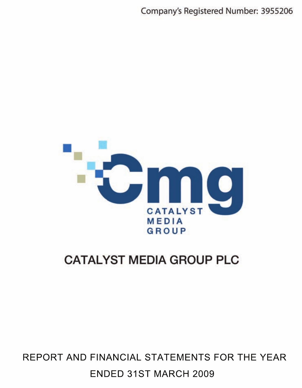Company's Registered Number: 3955206



# **CATALYST MEDIA GROUP PLC**

REPORT AND FINANCIAL STATEMENTS FOR THE YEAR

ENDED 31ST MARCH 2009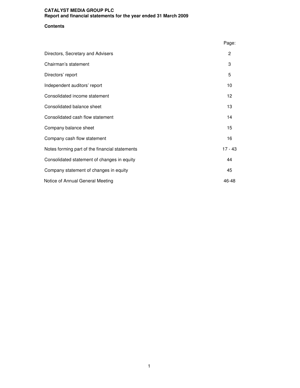#### **CATALYST MEDIA GROUP PLC Report and financial statements for the year ended 31 March 2009**

## **Contents**

|                                                | Page:     |
|------------------------------------------------|-----------|
| Directors, Secretary and Advisers              | 2         |
| Chairman's statement                           | 3         |
| Directors' report                              | 5         |
| Independent auditors' report                   | 10        |
| Consolidated income statement                  | 12        |
| Consolidated balance sheet                     | 13        |
| Consolidated cash flow statement               | 14        |
| Company balance sheet                          | 15        |
| Company cash flow statement                    | 16        |
| Notes forming part of the financial statements | $17 - 43$ |
| Consolidated statement of changes in equity    | 44        |
| Company statement of changes in equity         | 45        |
| Notice of Annual General Meeting               | 46-48     |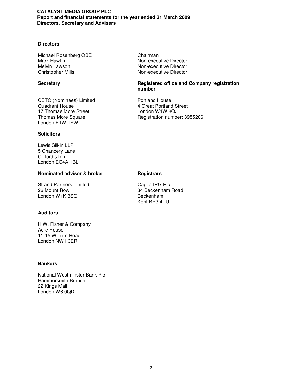## **CATALYST MEDIA GROUP PLC Report and financial statements for the year ended 31 March 2009 Directors, Secretary and Advisers**

## **Directors**

Michael Rosenberg OBE Chairman Mark Hawtin Non-executive Director Melvin Lawson Non-executive Director Christopher Mills **Non-executive Director** 

CETC (Nominees) Limited **CETC (Nominees) Limited** Portland House<br>Quadrant House **Portland** A Great Portland 17 Thomas More Street<br>Thomas More Square London E1W 1YW

# **Solicitors**

Lewis Silkin LLP 5 Chancery Lane Clifford's Inn London EC4A 1BL

# **Nominated adviser & broker Registrars**

Strand Partners Limited Capita IRG Plc 26 Mount Row 34 Beckenham Road London W1K 3SQ Beckenham

# **Auditors**

H.W. Fisher & Company Acre House 11-15 William Road London NW1 3ER

# **Bankers**

National Westminster Bank Plc Hammersmith Branch 22 Kings Mall London W6 0QD

**\_\_\_\_\_\_\_\_\_\_\_\_\_\_\_\_\_\_\_\_\_\_\_\_\_\_\_\_\_\_\_\_\_\_\_\_\_\_\_\_\_\_\_\_\_\_\_\_\_\_\_\_\_\_\_\_\_\_\_\_\_\_\_\_\_\_\_\_\_\_\_\_\_\_\_\_\_\_**

# **Secretary Registered office and Company registration Registered office and Company registration number**

4 Great Portland Street<br>London W1W 8QJ Registration number: 3955206

Kent BR3 4TU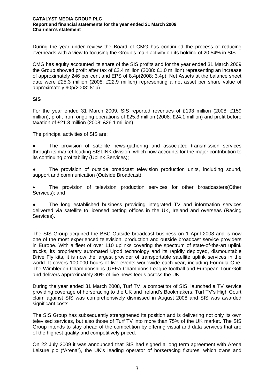During the year under review the Board of CMG has continued the process of reducing overheads with a view to focusing the Group's main activity on its holding of 20.54% in SIS.

**\_\_\_\_\_\_\_\_\_\_\_\_\_\_\_\_\_\_\_\_\_\_\_\_\_\_\_\_\_\_\_\_\_\_\_\_\_\_\_\_\_\_\_\_\_\_\_\_\_\_\_\_\_\_\_\_\_\_\_\_\_\_\_\_\_\_\_\_\_\_\_\_\_\_\_\_\_**

CMG has equity accounted its share of the SIS profits and for the year ended 31 March 2009 the Group showed profit after tax of £2.4 million (2008: £1.0 million) representing an increase of approximately 246 per cent and EPS of 8.4p(2008: 3.4p). Net Assets at the balance sheet date were £25.3 million (2008: £22.9 million) representing a net asset per share value of approximately 90p(2008: 81p).

# **SIS**

For the year ended 31 March 2009, SIS reported revenues of £193 million (2008: £159 million), profit from ongoing operations of £25.3 million (2008: £24.1 million) and profit before taxation of £21.3 million (2008: £26.1 million).

The principal activities of SIS are:

The provision of satellite news-gathering and associated transmission services through its market leading SISLINK division, which now accounts for the major contribution to its continuing profitability (Uplink Services);

The provision of outside broadcast television production units, including sound, support and communication (Outside Broadcast);

• The provision of television production services for other broadcasters(Other Services); and

The long established business providing integrated TV and information services delivered via satellite to licensed betting offices in the UK, Ireland and overseas (Racing Services).

The SIS Group acquired the BBC Outside broadcast business on 1 April 2008 and is now one of the most experienced television, production and outside broadcast service providers in Europe. With a fleet of over 110 uplinks covering the spectrum of state-of-the-art uplink trucks, its proprietary automated Upod technology and its rapidly deployed, dismountable Drive Fly kits, it is now the largest provider of transportable satellite uplink services in the world. It covers 100,000 hours of live events worldwide each year, including Formula One, The Wimbledon Championships ,UEFA Champions League football and European Tour Golf and delivers approximately 80% of live news feeds across the UK.

During the year ended 31 March 2008, Turf TV, a competitor of SIS, launched a TV service providing coverage of horseracing to the UK and Ireland's Bookmakers. Turf TV's High Court claim against SIS was comprehensively dismissed in August 2008 and SIS was awarded significant costs.

The SIS Group has subsequently strengthened its position and is delivering not only its own televised services, but also those of Turf TV into more than 75% of the UK market. The SIS Group intends to stay ahead of the competition by offering visual and data services that are of the highest quality and competitively priced.

On 22 July 2009 it was announced that SIS had signed a long term agreement with Arena Leisure plc ("Arena"), the UK's leading operator of horseracing fixtures, which owns and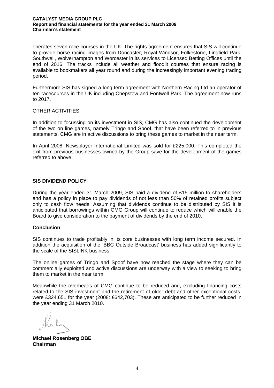#### **CATALYST MEDIA GROUP PLC Report and financial statements for the year ended 31 March 2009 Chairman's statement**

operates seven race courses in the UK. The rights agreement ensures that SIS will continue to provide horse racing images from Doncaster, Royal Windsor, Folkestone, Lingfield Park, Southwell, Wolverhampton and Worcester in its services to Licensed Betting Offices until the end of 2016. The tracks include all weather and floodlit courses that ensure racing is available to bookmakers all year round and during the increasingly important evening trading period.

**\_\_\_\_\_\_\_\_\_\_\_\_\_\_\_\_\_\_\_\_\_\_\_\_\_\_\_\_\_\_\_\_\_\_\_\_\_\_\_\_\_\_\_\_\_\_\_\_\_\_\_\_\_\_\_\_\_\_\_\_\_\_\_\_\_\_\_\_\_\_\_\_\_\_\_\_\_**

Furthermore SIS has signed a long term agreement with Northern Racing Ltd an operator of ten racecourses in the UK including Chepstow and Fontwell Park. The agreement now runs to 2017.

# OTHER ACTIVITIES

In addition to focussing on its investment in SIS, CMG has also continued the development of the two on line games, namely Tringo and Spoof, that have been referred to in previous statements. CMG are in active discussions to bring these games to market in the near term.

In April 2008, Newsplayer International Limited was sold for £225,000. This completed the exit from previous businesses owned by the Group save for the development of the games referred to above.

# **SIS DIVIDEND POLICY**

During the year ended 31 March 2009, SIS paid a dividend of £15 million to shareholders and has a policy in place to pay dividends of not less than 50% of retained profits subject only to cash flow needs. Assuming that dividends continue to be distributed by SIS it is anticipated that borrowings within CMG Group will continue to reduce which will enable the Board to give consideration to the payment of dividends by the end of 2010.

# **Conclusion**

SIS continues to trade profitably in its core businesses with long term income secured. In addition the acquisition of the 'BBC Outside Broadcast' business has added significantly to the scale of the SISLINK business.

The online games of Tringo and Spoof have now reached the stage where they can be commercially exploited and active discussions are underway with a view to seeking to bring them to market in the near term

Meanwhile the overheads of CMG continue to be reduced and, excluding financing costs related to the SIS investment and the retirement of older debt and other exceptional costs, were £324,651 for the year (2008: £642,703). These are anticipated to be further reduced in the year ending 31 March 2010.

**Michael Rosenberg OBE Chairman**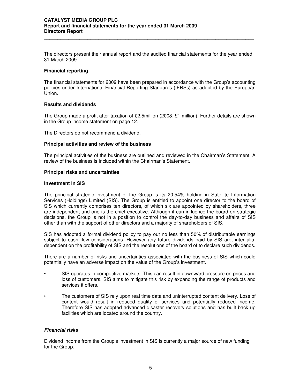#### **CATALYST MEDIA GROUP PLC Report and financial statements for the year ended 31 March 2009 Directors Report**

The directors present their annual report and the audited financial statements for the year ended 31 March 2009.

**\_\_\_\_\_\_\_\_\_\_\_\_\_\_\_\_\_\_\_\_\_\_\_\_\_\_\_\_\_\_\_\_\_\_\_\_\_\_\_\_\_\_\_\_\_\_\_\_\_\_\_\_\_\_\_\_\_\_\_\_\_\_\_\_\_\_\_\_\_\_\_\_\_\_\_\_\_** 

#### **Financial reporting**

The financial statements for 2009 have been prepared in accordance with the Group's accounting policies under International Financial Reporting Standards (IFRSs) as adopted by the European Union.

#### **Results and dividends**

The Group made a profit after taxation of £2.5million (2008: £1 million). Further details are shown in the Group income statement on page 12.

The Directors do not recommend a dividend.

#### **Principal activities and review of the business**

The principal activities of the business are outlined and reviewed in the Chairman's Statement. A review of the business is included within the Chairman's Statement.

#### **Principal risks and uncertainties**

#### **Investment in SIS**

The principal strategic investment of the Group is its 20.54% holding in Satellite Information Services (Holdings) Limited (SIS). The Group is entitled to appoint one director to the board of SIS which currently comprises ten directors, of which six are appointed by shareholders, three are independent and one is the chief executive. Although it can influence the board on strategic decisions, the Group is not in a position to control the day-to-day business and affairs of SIS other than with the support of other directors and a majority of shareholders of SIS.

SIS has adopted a formal dividend policy to pay out no less than 50% of distributable earnings subject to cash flow considerations. However any future dividends paid by SIS are, inter alia, dependent on the profitability of SIS and the resolutions of the board of to declare such dividends.

There are a number of risks and uncertainties associated with the business of SIS which could potentially have an adverse impact on the value of the Group's investment.

- SIS operates in competitive markets. This can result in downward pressure on prices and loss of customers. SIS aims to mitigate this risk by expanding the range of products and services it offers.
- The customers of SIS rely upon real time data and uninterrupted content delivery. Loss of content would result in reduced quality of services and potentially reduced income. Therefore SIS has adopted advanced disaster recovery solutions and has built back up facilities which are located around the country.

#### **Financial risks**

Dividend income from the Group's investment in SIS is currently a major source of new funding for the Group.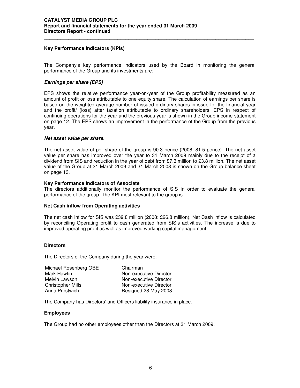#### **Key Performance Indicators (KPIs)**

The Company's key performance indicators used by the Board in monitoring the general performance of the Group and its investments are:

**\_\_\_\_\_\_\_\_\_\_\_\_\_\_\_\_\_\_\_\_\_\_\_\_\_\_\_\_\_\_\_\_\_\_\_\_\_\_\_\_\_\_\_\_\_\_\_\_\_\_\_\_\_\_\_\_\_\_\_\_\_\_\_\_\_\_\_\_\_\_\_\_\_\_\_\_\_** 

#### **Earnings per share (EPS)**

EPS shows the relative performance year-on-year of the Group profitability measured as an amount of profit or loss attributable to one equity share. The calculation of earnings per share is based on the weighted average number of issued ordinary shares in issue for the financial year and the profit/ (loss) after taxation attributable to ordinary shareholders. EPS in respect of continuing operations for the year and the previous year is shown in the Group income statement on page 12. The EPS shows an improvement in the performance of the Group from the previous year.

#### **Net asset value per share.**

The net asset value of per share of the group is 90.3 pence (2008: 81.5 pence). The net asset value per share has improved over the year to 31 March 2009 mainly due to the receipt of a dividend from SIS and reduction in the year of debt from £7.3 million to £3.8 million. The net asset value of the Group at 31 March 2009 and 31 March 2008 is shown on the Group balance sheet on page 13.

#### **Key Performance Indicators of Associate**

The directors additionally monitor the performance of SIS in order to evaluate the general performance of the group. The KPI most relevant to the group is:

#### **Net Cash inflow from Operating activities**

The net cash inflow for SIS was £39.8 million (2008: £26.8 million). Net Cash inflow is calculated by reconciling Operating profit to cash generated from SIS's activities. The increase is due to improved operating profit as well as improved working capital management.

#### **Directors**

The Directors of the Company during the year were:

| Michael Rosenberg OBE    | Chairman               |
|--------------------------|------------------------|
| Mark Hawtin              | Non-executive Director |
| Melvin Lawson            | Non-executive Director |
| <b>Christopher Mills</b> | Non-executive Director |
| Anna Prestwich           | Resigned 28 May 2008   |
|                          |                        |

The Company has Directors' and Officers liability insurance in place.

#### **Employees**

The Group had no other employees other than the Directors at 31 March 2009.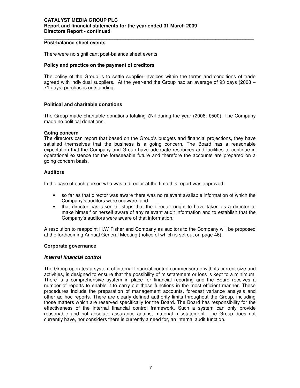#### **Post-balance sheet events**

There were no significant post-balance sheet events.

#### **Policy and practice on the payment of creditors**

The policy of the Group is to settle supplier invoices within the terms and conditions of trade agreed with individual suppliers. At the year-end the Group had an average of 93 days (2008 – 71 days) purchases outstanding.

**\_\_\_\_\_\_\_\_\_\_\_\_\_\_\_\_\_\_\_\_\_\_\_\_\_\_\_\_\_\_\_\_\_\_\_\_\_\_\_\_\_\_\_\_\_\_\_\_\_\_\_\_\_\_\_\_\_\_\_\_\_\_\_\_\_\_\_\_\_\_\_\_\_\_\_\_\_** 

## **Political and charitable donations**

The Group made charitable donations totaling £Nil during the year (2008: £500). The Company made no political donations.

#### **Going concern**

The directors can report that based on the Group's budgets and financial projections, they have satisfied themselves that the business is a going concern. The Board has a reasonable expectation that the Company and Group have adequate resources and facilities to continue in operational existence for the foreseeable future and therefore the accounts are prepared on a going concern basis.

## **Auditors**

In the case of each person who was a director at the time this report was approved:

- so far as that director was aware there was no relevant available information of which the Company's auditors were unaware: and
- that director has taken all steps that the director ought to have taken as a director to make himself or herself aware of any relevant audit information and to establish that the Company's auditors were aware of that information.

A resolution to reappoint H.W Fisher and Company as auditors to the Company will be proposed at the forthcoming Annual General Meeting (notice of which is set out on page 46).

#### **Corporate governance**

#### **Internal financial control**

The Group operates a system of internal financial control commensurate with its current size and activities, is designed to ensure that the possibility of misstatement or loss is kept to a minimum. There is a comprehensive system in place for financial reporting and the Board receives a number of reports to enable it to carry out these functions in the most efficient manner. These procedures include the preparation of management accounts, forecast variance analysis and other ad hoc reports. There are clearly defined authority limits throughout the Group, including those matters which are reserved specifically for the Board. The Board has responsibility for the effectiveness of the internal financial control framework. Such a system can only provide reasonable and not absolute assurance against material misstatement. The Group does not currently have, nor considers there is currently a need for, an internal audit function.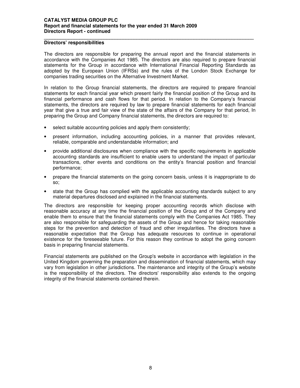#### **CATALYST MEDIA GROUP PLC Report and financial statements for the year ended 31 March 2009 Directors Report - continued**

#### **Directors' responsibilities**

The directors are responsible for preparing the annual report and the financial statements in accordance with the Companies Act 1985. The directors are also required to prepare financial statements for the Group in accordance with International Financial Reporting Standards as adopted by the European Union (IFRSs) and the rules of the London Stock Exchange for companies trading securities on the Alternative Investment Market.

**\_\_\_\_\_\_\_\_\_\_\_\_\_\_\_\_\_\_\_\_\_\_\_\_\_\_\_\_\_\_\_\_\_\_\_\_\_\_\_\_\_\_\_\_\_\_\_\_\_\_\_\_\_\_\_\_\_\_\_\_\_\_\_\_\_\_\_\_\_\_\_\_\_\_\_\_\_** 

In relation to the Group financial statements, the directors are required to prepare financial statements for each financial year which present fairly the financial position of the Group and its financial performance and cash flows for that period. In relation to the Company's financial statements, the directors are required by law to prepare financial statements for each financial year that give a true and fair view of the state of the affairs of the Company for that period, In preparing the Group and Company financial statements, the directors are required to:

- select suitable accounting policies and apply them consistently;
- present information, including accounting policies, in a manner that provides relevant, reliable, comparable and understandable information; and
- provide additional disclosures when compliance with the specific requirements in applicable accounting standards are insufficient to enable users to understand the impact of particular transactions, other events and conditions on the entity's financial position and financial performance;
- prepare the financial statements on the going concern basis, unless it is inappropriate to do so;
- state that the Group has complied with the applicable accounting standards subject to any material departures disclosed and explained in the financial statements.

The directors are responsible for keeping proper accounting records which disclose with reasonable accuracy at any time the financial position of the Group and of the Company and enable them to ensure that the financial statements comply with the Companies Act 1985. They are also responsible for safeguarding the assets of the Group and hence for taking reasonable steps for the prevention and detection of fraud and other irregularities. The directors have a reasonable expectation that the Group has adequate resources to continue in operational existence for the foreseeable future. For this reason they continue to adopt the going concern basis in preparing financial statements.

Financial statements are published on the Group's website in accordance with legislation in the United Kingdom governing the preparation and dissemination of financial statements, which may vary from legislation in other jurisdictions. The maintenance and integrity of the Group's website is the responsibility of the directors. The directors' responsibility also extends to the ongoing integrity of the financial statements contained therein.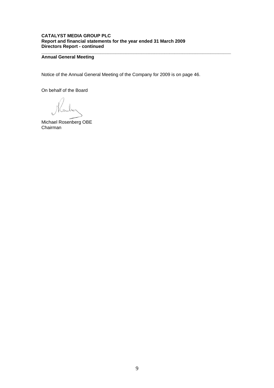## **CATALYST MEDIA GROUP PLC Report and financial statements for the year ended 31 March 2009 Directors Report - continued**

# **Annual General Meeting**

Notice of the Annual General Meeting of the Company for 2009 is on page 46.

**\_\_\_\_\_\_\_\_\_\_\_\_\_\_\_\_\_\_\_\_\_\_\_\_\_\_\_\_\_\_\_\_\_\_\_\_\_\_\_\_\_\_\_\_\_\_\_\_\_\_\_\_\_\_\_\_\_\_\_\_\_\_\_\_\_\_\_\_\_\_\_\_\_\_**

On behalf of the Board

Michael Rosenberg OBE Chairman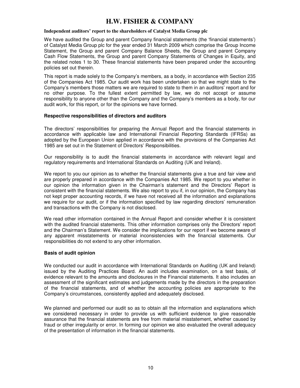# **H.W. FISHER & COMPANY**

#### **Independent auditors' report to the shareholders of Catalyst Media Group plc**

We have audited the Group and parent Company financial statements (the 'financial statements') of Catalyst Media Group plc for the year ended 31 March 2009 which comprise the Group Income Statement, the Group and parent Company Balance Sheets, the Group and parent Company Cash Flow Statements, the Group and parent Company Statements of Changes in Equity, and the related notes 1 to 30. These financial statements have been prepared under the accounting policies set out therein.

This report is made solely to the Company's members, as a body, in accordance with Section 235 of the Companies Act 1985. Our audit work has been undertaken so that we might state to the Company's members those matters we are required to state to them in an auditors' report and for no other purpose. To the fullest extent permitted by law, we do not accept or assume responsibility to anyone other than the Company and the Company's members as a body, for our audit work, for this report, or for the opinions we have formed.

## **Respective responsibilities of directors and auditors**

The directors' responsibilities for preparing the Annual Report and the financial statements in accordance with applicable law and International Financial Reporting Standards (IFRSs) as adopted by the European Union applied in accordance with the provisions of the Companies Act 1985 are set out in the Statement of Directors' Responsibilities.

Our responsibility is to audit the financial statements in accordance with relevant legal and regulatory requirements and International Standards on Auditing (UK and Ireland).

We report to you our opinion as to whether the financial statements give a true and fair view and are properly prepared in accordance with the Companies Act 1985. We report to you whether in our opinion the information given in the Chairman's statement and the Directors' Report is consistent with the financial statements. We also report to you if, in our opinion, the Company has not kept proper accounting records, if we have not received all the information and explanations we require for our audit, or if the information specified by law regarding directors' remuneration and transactions with the Company is not disclosed.

We read other information contained in the Annual Report and consider whether it is consistent with the audited financial statements. This other information comprises only the Directors' report and the Chairman's Statement. We consider the implications for our report if we become aware of any apparent misstatements or material inconsistencies with the financial statements. Our responsibilities do not extend to any other information.

#### **Basis of audit opinion**

We conducted our audit in accordance with International Standards on Auditing (UK and Ireland) issued by the Auditing Practices Board. An audit includes examination, on a test basis, of evidence relevant to the amounts and disclosures in the Financial statements. It also includes an assessment of the significant estimates and judgements made by the directors in the preparation of the financial statements, and of whether the accounting policies are appropriate to the Company's circumstances, consistently applied and adequately disclosed.

We planned and performed our audit so as to obtain all the information and explanations which we considered necessary in order to provide us with sufficient evidence to give reasonable assurance that the financial statements are free from material misstatement, whether caused by fraud or other irregularity or error. In forming our opinion we also evaluated the overall adequacy of the presentation of information in the financial statements.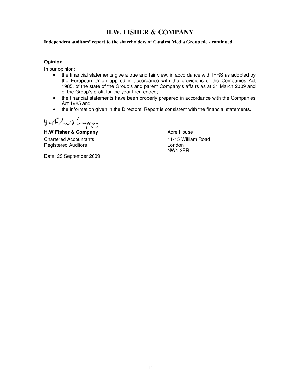# **H.W. FISHER & COMPANY**

**\_\_\_\_\_\_\_\_\_\_\_\_\_\_\_\_\_\_\_\_\_\_\_\_\_\_\_\_\_\_\_\_\_\_\_\_\_\_\_\_\_\_\_\_\_\_\_\_\_\_\_\_\_\_\_\_\_\_\_\_\_\_\_\_\_\_\_\_\_\_\_\_\_\_\_\_\_** 

#### **Independent auditors' report to the shareholders of Catalyst Media Group plc - continued**

# **Opinion**

In our opinion:

- the financial statements give a true and fair view, in accordance with IFRS as adopted by the European Union applied in accordance with the provisions of the Companies Act 1985, of the state of the Group's and parent Company's affairs as at 31 March 2009 and of the Group's profit for the year then ended;
- the financial statements have been properly prepared in accordance with the Companies Act 1985 and
- the information given in the Directors' Report is consistent with the financial statements.

HwFidresd Company

**H.W Fisher & Company Acre House Acre House** Chartered Accountants 11-15 William Road Registered Auditors **London** 

NW1 3ER

Date: 29 September 2009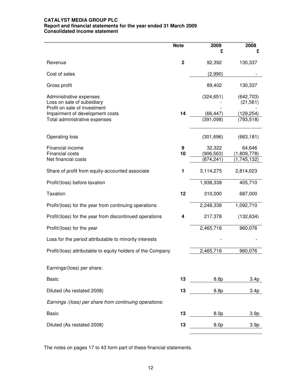|                                                                                       | <b>Note</b> | 2009<br>£             | 2008<br>£               |
|---------------------------------------------------------------------------------------|-------------|-----------------------|-------------------------|
| Revenue                                                                               | $\mathbf 2$ | 92,392                | 130,337                 |
| Cost of sales                                                                         |             | (2,990)               |                         |
| Gross profit                                                                          |             | 89,402                | 130,337                 |
| Administrative expenses<br>Loss on sale of subsidiary<br>Profit on sale of investment |             | (324, 651)            | (642, 703)<br>(21, 561) |
| Impairment of development costs<br>Total administrative expenses                      | 14          | (66,447<br>(391, 098) | (129,254)<br>(793, 518) |
| Operating loss                                                                        |             | (301, 696)            | (663, 181)              |
| Financial income<br><b>Financial costs</b>                                            | 9<br>10     | 32,322<br>(906, 563)  | 64,646<br>(1,809,778)   |
| Net financial costs                                                                   |             | $\sqrt{874,241}$      | (1,745,132)             |
| Share of profit from equity-accounted associate                                       | 1           | 3,114,275             | 2,814,023               |
| Profit/(loss) before taxation                                                         |             | 1,938,338             | 405,710                 |
| <b>Taxation</b>                                                                       | 12          | 310,000               | 687,000                 |
| Profit/(loss) for the year from continuing operations                                 |             | 2,248,338             | 1,092,710               |
| Profit/(loss) for the year from discontinued operations                               | 4           | 217,378               | (132, 634)              |
| Profit/(loss) for the year                                                            |             | 2,465,716             | 960,076                 |
| Loss for the period attributable to minority interests                                |             |                       |                         |
| Profit/(loss) attributable to equity holders of the Company                           |             | 2,465,716             | 960,076                 |
| Earnings/(loss) per share:                                                            |             |                       |                         |
| <b>Basic</b>                                                                          | 13          | 8.8p                  | 3.4p                    |
| Diluted (As restated 2008)                                                            | 13          | 8.8 <sub>p</sub>      | 3.4 <sub>p</sub>        |
| Earnings /(loss) per share from continuing operations:                                |             |                       |                         |
| <b>Basic</b>                                                                          | 13          | 8.0p                  | 3.9 <sub>p</sub>        |
| Diluted (As restated 2008)                                                            | 13          | 8.0 <sub>p</sub>      | 3.9 <sub>p</sub>        |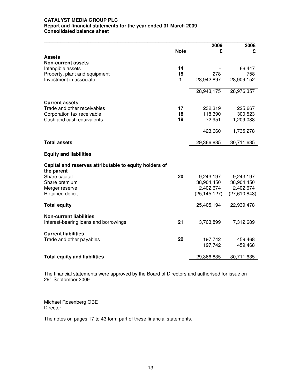#### **CATALYST MEDIA GROUP PLC Report and financial statements for the year ended 31 March 2009 Consolidated balance sheet**

|                                                                      |             | 2009           | 2008         |
|----------------------------------------------------------------------|-------------|----------------|--------------|
|                                                                      | <b>Note</b> | £              | £            |
| <b>Assets</b>                                                        |             |                |              |
| <b>Non-current assets</b>                                            |             |                |              |
| Intangible assets                                                    | 14          |                | 66,447       |
| Property, plant and equipment                                        | 15          | 278            | 758          |
| Investment in associate                                              | 1           | 28,942,897     | 28,909,152   |
|                                                                      |             | 28,943,175     | 28,976,357   |
| <b>Current assets</b>                                                |             |                |              |
| Trade and other receivables                                          | 17          | 232,319        | 225,667      |
| Corporation tax receivable                                           | 18          | 118,390        | 300,523      |
| Cash and cash equivalents                                            | 19          | 72,951         | 1,209,088    |
|                                                                      |             | 423,660        | 1,735,278    |
| <b>Total assets</b>                                                  |             | 29,366,835     | 30,711,635   |
| <b>Equity and liabilities</b>                                        |             |                |              |
| Capital and reserves attributable to equity holders of<br>the parent |             |                |              |
| Share capital                                                        | 20          | 9,243,197      | 9,243,197    |
| Share premium                                                        |             | 38,904,450     | 38,904,450   |
| Merger reserve                                                       |             | 2,402,674      | 2,402,674    |
| <b>Retained deficit</b>                                              |             | (25, 145, 127) | (27,610,843) |
| <b>Total equity</b>                                                  |             | 25,405,194     | 22,939,478   |
|                                                                      |             |                |              |
| <b>Non-current liabilities</b>                                       |             |                |              |
| Interest-bearing loans and borrowings                                | 21          | 3,763,899      | 7,312,689    |
| <b>Current liabilities</b>                                           |             |                |              |
| Trade and other payables                                             | 22          | 197,742        | 459,468      |
|                                                                      |             | 197,742        | 459,468      |
| <b>Total equity and liabilities</b>                                  |             | 29,366,835     | 30,711,635   |

The financial statements were approved by the Board of Directors and authorised for issue on 29<sup>th</sup> September 2009

Michael Rosenberg OBE **Director**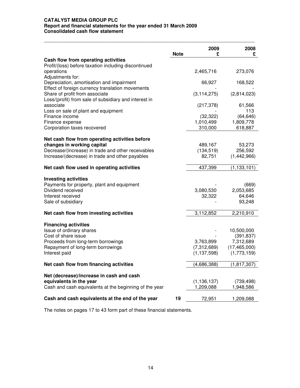## **CATALYST MEDIA GROUP PLC Report and financial statements for the year ended 31 March 2009 Consolidated cash flow statement**

| Cash flow from operating activities<br>Profit/(loss) before taxation including discontinued<br>operations<br>2,465,716<br>273,076<br>Adjustments for:<br>Depreciation, amortisation and impairment<br>66,927<br>168,522<br>Effect of foreign currency translation movements<br>Share of profit from associate<br>(3, 114, 275)<br>(2,814,023)<br>Loss/(profit) from sale of subsidiary and interest in<br>associate<br>(217, 378)<br>61,566<br>Loss on sale of plant and equipment<br>Finance income<br>(32, 322)<br>(64, 646)<br>Finance expense<br>1,010,499<br>1,809,778<br>Corporation taxes recovered<br>310,000<br>618,887<br>Net cash flow from operating activities before<br>changes in working capital<br>489,167<br>53,273<br>Decrease/(increase) in trade and other receivables<br>(134, 519)<br>256,592<br>Increase/(decrease) in trade and other payables<br>82,751<br>(1,442,966)<br>Net cash flow used in operating activities<br>437,399<br>(1, 133, 101)<br><b>Investing activities</b><br>Payments for property, plant and equipment<br>Dividend received<br>3,080,530<br>2,053,685<br>Interest received<br>32,322<br>64,646<br>Sale of subsidiary<br>93,248<br>Net cash flow from investing activities<br>3,112,852<br>2,210,910 | 113   |
|------------------------------------------------------------------------------------------------------------------------------------------------------------------------------------------------------------------------------------------------------------------------------------------------------------------------------------------------------------------------------------------------------------------------------------------------------------------------------------------------------------------------------------------------------------------------------------------------------------------------------------------------------------------------------------------------------------------------------------------------------------------------------------------------------------------------------------------------------------------------------------------------------------------------------------------------------------------------------------------------------------------------------------------------------------------------------------------------------------------------------------------------------------------------------------------------------------------------------------------------------|-------|
|                                                                                                                                                                                                                                                                                                                                                                                                                                                                                                                                                                                                                                                                                                                                                                                                                                                                                                                                                                                                                                                                                                                                                                                                                                                      |       |
|                                                                                                                                                                                                                                                                                                                                                                                                                                                                                                                                                                                                                                                                                                                                                                                                                                                                                                                                                                                                                                                                                                                                                                                                                                                      |       |
|                                                                                                                                                                                                                                                                                                                                                                                                                                                                                                                                                                                                                                                                                                                                                                                                                                                                                                                                                                                                                                                                                                                                                                                                                                                      |       |
|                                                                                                                                                                                                                                                                                                                                                                                                                                                                                                                                                                                                                                                                                                                                                                                                                                                                                                                                                                                                                                                                                                                                                                                                                                                      |       |
|                                                                                                                                                                                                                                                                                                                                                                                                                                                                                                                                                                                                                                                                                                                                                                                                                                                                                                                                                                                                                                                                                                                                                                                                                                                      |       |
|                                                                                                                                                                                                                                                                                                                                                                                                                                                                                                                                                                                                                                                                                                                                                                                                                                                                                                                                                                                                                                                                                                                                                                                                                                                      |       |
|                                                                                                                                                                                                                                                                                                                                                                                                                                                                                                                                                                                                                                                                                                                                                                                                                                                                                                                                                                                                                                                                                                                                                                                                                                                      |       |
|                                                                                                                                                                                                                                                                                                                                                                                                                                                                                                                                                                                                                                                                                                                                                                                                                                                                                                                                                                                                                                                                                                                                                                                                                                                      |       |
|                                                                                                                                                                                                                                                                                                                                                                                                                                                                                                                                                                                                                                                                                                                                                                                                                                                                                                                                                                                                                                                                                                                                                                                                                                                      |       |
|                                                                                                                                                                                                                                                                                                                                                                                                                                                                                                                                                                                                                                                                                                                                                                                                                                                                                                                                                                                                                                                                                                                                                                                                                                                      |       |
|                                                                                                                                                                                                                                                                                                                                                                                                                                                                                                                                                                                                                                                                                                                                                                                                                                                                                                                                                                                                                                                                                                                                                                                                                                                      |       |
|                                                                                                                                                                                                                                                                                                                                                                                                                                                                                                                                                                                                                                                                                                                                                                                                                                                                                                                                                                                                                                                                                                                                                                                                                                                      | (669) |
|                                                                                                                                                                                                                                                                                                                                                                                                                                                                                                                                                                                                                                                                                                                                                                                                                                                                                                                                                                                                                                                                                                                                                                                                                                                      |       |
|                                                                                                                                                                                                                                                                                                                                                                                                                                                                                                                                                                                                                                                                                                                                                                                                                                                                                                                                                                                                                                                                                                                                                                                                                                                      |       |
|                                                                                                                                                                                                                                                                                                                                                                                                                                                                                                                                                                                                                                                                                                                                                                                                                                                                                                                                                                                                                                                                                                                                                                                                                                                      |       |
| <b>Financing activities</b>                                                                                                                                                                                                                                                                                                                                                                                                                                                                                                                                                                                                                                                                                                                                                                                                                                                                                                                                                                                                                                                                                                                                                                                                                          |       |
| Issue of ordinary shares<br>10,500,000                                                                                                                                                                                                                                                                                                                                                                                                                                                                                                                                                                                                                                                                                                                                                                                                                                                                                                                                                                                                                                                                                                                                                                                                               |       |
| Cost of share issue<br>(391, 837)<br>Proceeds from long-term borrowings<br>3,763,899<br>7,312,689                                                                                                                                                                                                                                                                                                                                                                                                                                                                                                                                                                                                                                                                                                                                                                                                                                                                                                                                                                                                                                                                                                                                                    |       |
| (7,312,689)<br>(17, 465, 000)<br>Repayment of long-term borrowings                                                                                                                                                                                                                                                                                                                                                                                                                                                                                                                                                                                                                                                                                                                                                                                                                                                                                                                                                                                                                                                                                                                                                                                   |       |
| (1, 137, 598)<br>(1,773,159)<br>Interest paid                                                                                                                                                                                                                                                                                                                                                                                                                                                                                                                                                                                                                                                                                                                                                                                                                                                                                                                                                                                                                                                                                                                                                                                                        |       |
| (4,686,388)<br>Net cash flow from financing activities<br>(1,817,307)                                                                                                                                                                                                                                                                                                                                                                                                                                                                                                                                                                                                                                                                                                                                                                                                                                                                                                                                                                                                                                                                                                                                                                                |       |
| Net (decrease)/increase in cash and cash                                                                                                                                                                                                                                                                                                                                                                                                                                                                                                                                                                                                                                                                                                                                                                                                                                                                                                                                                                                                                                                                                                                                                                                                             |       |
| equivalents in the year<br>(1, 136, 137)<br>(739, 498)<br>Cash and cash equivalents at the beginning of the year<br>1,209,088<br>1,948,586                                                                                                                                                                                                                                                                                                                                                                                                                                                                                                                                                                                                                                                                                                                                                                                                                                                                                                                                                                                                                                                                                                           |       |
| Cash and cash equivalents at the end of the year<br>19<br>72,951<br>1,209,088                                                                                                                                                                                                                                                                                                                                                                                                                                                                                                                                                                                                                                                                                                                                                                                                                                                                                                                                                                                                                                                                                                                                                                        |       |

**\_\_\_\_\_\_\_\_\_\_\_\_\_\_\_\_\_\_\_\_\_\_\_\_\_\_\_\_\_\_\_\_\_\_\_\_\_\_\_\_\_\_\_\_\_\_\_\_\_\_\_\_\_\_\_\_\_\_\_\_\_\_\_\_\_\_\_\_\_\_\_\_\_\_\_\_\_\_\_\_\_\_\_\_\_\_**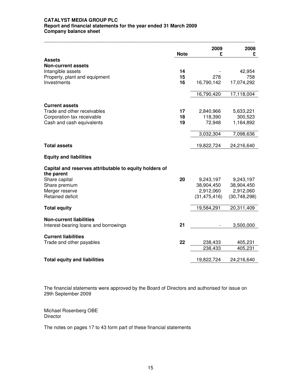## **CATALYST MEDIA GROUP PLC Report and financial statements for the year ended 31 March 2009 Company balance sheet**

|                                                        | <b>Note</b> | 2009<br>£      | 2008<br>£      |
|--------------------------------------------------------|-------------|----------------|----------------|
| <b>Assets</b>                                          |             |                |                |
| <b>Non-current assets</b>                              |             |                |                |
| Intangible assets                                      | 14          |                | 42,954         |
| Property, plant and equipment                          | 15          | 278            | 758            |
| Investments                                            | 16          | 16,790,142     | 17,074,292     |
|                                                        |             | 16,790,420     | 17,118,004     |
| <b>Current assets</b>                                  |             |                |                |
| Trade and other receivables                            | 17          | 2,840,966      | 5,633,221      |
| Corporation tax receivable                             | 18          | 118,390        | 300,523        |
| Cash and cash equivalents                              | 19          | 72,948         | 1,164,892      |
|                                                        |             |                |                |
|                                                        |             | 3,032,304      | 7,098,636      |
|                                                        |             |                |                |
| <b>Total assets</b>                                    |             | 19,822,724     | 24,216,640     |
| <b>Equity and liabilities</b>                          |             |                |                |
| Capital and reserves attributable to equity holders of |             |                |                |
| the parent                                             |             |                |                |
| Share capital                                          | 20          | 9,243,197      | 9,243,197      |
| Share premium                                          |             | 38,904,450     | 38,904,450     |
| Merger reserve                                         |             | 2,912,060      | 2,912,060      |
| <b>Retained deficit</b>                                |             | (31, 475, 416) | (30, 748, 298) |
| <b>Total equity</b>                                    |             | 19,584,291     | 20,311,409     |
|                                                        |             |                |                |
| <b>Non-current liabilities</b>                         | 21          |                |                |
| Interest-bearing loans and borrowings                  |             |                | 3,500,000      |
| <b>Current liabilities</b>                             |             |                |                |
| Trade and other payables                               | 22          | 238,433        | 405,231        |
|                                                        |             | 238,433        | 405,231        |
|                                                        |             |                |                |
| <b>Total equity and liabilities</b>                    |             | 19,822,724     | 24,216,640     |

**\_\_\_\_\_\_\_\_\_\_\_\_\_\_\_\_\_\_\_\_\_\_\_\_\_\_\_\_\_\_\_\_\_\_\_\_\_\_\_\_\_\_\_\_\_\_\_\_\_\_\_\_\_\_\_\_\_\_\_\_\_\_\_\_\_\_\_\_\_\_\_\_\_\_\_\_\_\_\_\_\_\_\_\_\_\_**

The financial statements were approved by the Board of Directors and authorised for issue on 29th September 2009

Michael Rosenberg OBE **Director**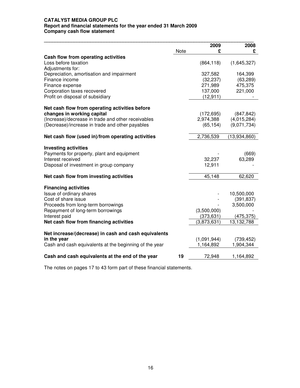## **CATALYST MEDIA GROUP PLC Report and financial statements for the year ended 31 March 2009 Company cash flow statement**

|                                                        |      | 2009        | 2008         |
|--------------------------------------------------------|------|-------------|--------------|
|                                                        | Note | £           | £            |
| Cash flow from operating activities                    |      |             |              |
| Loss before taxation                                   |      | (864, 118)  | (1,645,327)  |
| Adjustments for:                                       |      |             |              |
| Depreciation, amortisation and impairment              |      | 327,582     | 164,399      |
| Finance income                                         |      | (32, 237)   | (63, 289)    |
| Finance expense                                        |      | 271,989     | 475,375      |
| Corporation taxes recovered                            |      | 137,000     | 221,000      |
| Profit on disposal of subsidiary                       |      | (12, 911)   |              |
| Net cash flow from operating activities before         |      |             |              |
| changes in working capital                             |      | (172, 695)  | (847, 842)   |
| (Increase)/decrease in trade and other receivables     |      | 2,974,388   | (4,015,284)  |
| (Decrease)/increase in trade and other payables        |      | (65, 154)   | (9,071,734)  |
| Net cash flow (used in)/from operating activities      |      | 2,736,539   | (13,934,860) |
|                                                        |      |             |              |
| <b>Investing activities</b>                            |      |             |              |
| Payments for property, plant and equipment             |      |             | (669)        |
| Interest received                                      |      | 32,237      | 63,289       |
| Disposal of investment in group company                |      | 12,911      |              |
| Net cash flow from investing activities                |      | 45,148      | 62,620       |
| <b>Financing activities</b>                            |      |             |              |
| Issue of ordinary shares                               |      |             | 10,500,000   |
| Cost of share issue                                    |      |             | (391, 837)   |
| Proceeds from long-term borrowings                     |      |             | 3,500,000    |
| Repayment of long-term borrowings                      |      | (3,500,000) |              |
| Interest paid                                          |      | (373, 631)  | (475, 375)   |
| Net cash flow from financing activities                |      | (3,873,631) | 13,132,788   |
| Net increase/(decrease) in cash and cash equivalents   |      |             |              |
| in the year                                            |      | (1,091,944) | (739, 452)   |
| Cash and cash equivalents at the beginning of the year |      | 1,164,892   | 1,904,344    |
| Cash and cash equivalents at the end of the year       | 19   | 72,948      | 1,164,892    |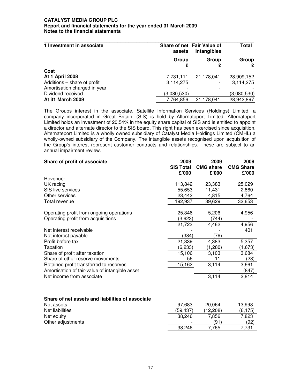| 1 Investment in associate    | assets      | Share of net Fair Value of<br>Intangibles | Total       |
|------------------------------|-------------|-------------------------------------------|-------------|
|                              | Group       | Group                                     | Group       |
| Cost                         |             |                                           |             |
| <b>At 1 April 2008</b>       | 7,731,111   | 21,178,041                                | 28,909,152  |
| Additions - share of profit  | 3,114,275   |                                           | 3,114,275   |
| Amortisation charged in year |             |                                           |             |
| Dividend received            | (3,080,530) |                                           | (3,080,530) |
| <b>At 31 March 2009</b>      | 7,764,856   | 21.178.041                                | 28,942,897  |

The Groups interest in the associate, Satellite Information Services (Holdings) Limited, a company incorporated in Great Britain, (SIS) is held by Alternateport Limited. Alternateport Limited holds an investment of 20.54% in the equity share capital of SIS and is entitled to appoint a director and alternate director to the SIS board. This right has been exercised since acquisition. Alternateport Limited is a wholly owned subsidiary of Catalyst Media Holdings Limited (CMHL) a wholly-owned subsidiary of the Company. The intangible assets recognised upon acquisition of the Group's interest represent customer contracts and relationships. These are subject to an annual impairment review.

| Share of profit of associate                     | 2009             | 2009             | 2008             |
|--------------------------------------------------|------------------|------------------|------------------|
|                                                  | <b>SIS Total</b> | <b>CMG share</b> | <b>CMG Share</b> |
|                                                  | £'000            | £'000            | £'000            |
| Revenue:                                         |                  |                  |                  |
| UK racing                                        | 113,842          | 23,383           | 25,029           |
| SIS live services                                | 55,653           | 11,431           | 2,860            |
| Other services                                   | 23,442           | 4,815            | 4,764            |
| Total revenue                                    | 192,937          | 39,629           | 32,653           |
| Operating profit from ongoing operations         | 25,346           | 5,206            | 4,956            |
| Operating profit from acquisitions               | (3,623)          | (744)            |                  |
|                                                  | 21,723           | 4,462            | 4,956            |
| Net interest receivable                          |                  |                  | 401              |
| Net interest payable                             | (384)            | (79)             |                  |
| Profit before tax                                | 21,339           | 4,383            | 5,357            |
| Taxation                                         | (6,233)          | (1,280)          | (1,673)          |
| Share of profit after taxation                   | 15,106           | 3,103            | 3,684            |
| Share of other reserve movements                 | 56               | 11               | (23)             |
| Retained profit transferred to reserves          | 15,162           | 3,114            | 3,661            |
| Amortisation of fair-value of intangible asset   |                  |                  | (847)            |
| Net income from associate                        |                  | 3,114            | 2,814            |
|                                                  |                  |                  |                  |
| Share of net assets and liabilities of associate |                  |                  |                  |
| Net assets                                       | 97,683           | 20,064           | 13,998           |
| Net liabilities                                  | (59,437)         | (12, 208)        | (6, 175)         |
| Net equity                                       | 38,246           | 7,856            | 7,823            |
| Other adjustments                                |                  | (91)             | (92)             |
|                                                  | 38,246           | 7,765            | 7,731            |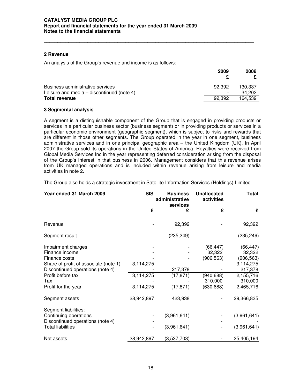# **2 Revenue**

An analysis of the Group's revenue and income is as follows:

|                                             | 2009   | 2008    |
|---------------------------------------------|--------|---------|
| Business administrative services            | 92.392 | 130.337 |
| Leisure and media $-$ discontinued (note 4) |        | 34.202  |
| <b>Total revenue</b>                        | 92.392 | 164.539 |

**\_\_\_\_\_\_\_\_\_\_\_\_\_\_\_\_\_\_\_\_\_\_\_\_\_\_\_\_\_\_\_\_\_\_\_\_\_\_\_\_\_\_\_\_\_\_\_\_\_\_\_\_\_\_\_\_\_\_\_\_\_\_\_\_\_\_\_\_\_\_\_\_\_\_\_\_\_** 

## **3 Segmental analysis**

A segment is a distinguishable component of the Group that is engaged in providing products or services in a particular business sector (business segment) or in providing products or services in a particular economic environment (geographic segment), which is subject to risks and rewards that are different in those other segments. The Group operated in the year in one segment, business administrative services and in one principal geographic area – the United Kingdom (UK). In April 2007 the Group sold its operations in the United States of America. Royalties were received from Global Media Services Inc in the year representing deferred consideration arising from the disposal of the Group's interest in that business in 2006. Management considers that this revenue arises from UK managed operations and is included within revenue arising from leisure and media activities in note 2.

The Group also holds a strategic investment in Satellite Information Services (Holdings) Limited.

| Year ended 31 March 2009              | <b>SIS</b>               | <b>Business</b><br>administrative<br>services | <b>Unallocated</b><br>activities | <b>Total</b> |
|---------------------------------------|--------------------------|-----------------------------------------------|----------------------------------|--------------|
|                                       | £                        | £                                             | £                                | £            |
| Revenue                               |                          | 92,392                                        |                                  | 92,392       |
| Segment result                        |                          | (235, 249)                                    |                                  | (235, 249)   |
| Impairment charges                    |                          |                                               | (66, 447)                        | (66, 447)    |
| Finance income                        |                          |                                               | 32,322                           | 32,322       |
| Finance costs                         |                          |                                               | (906, 563)                       | (906, 563)   |
| Share of profit of associate (note 1) | 3,114,275                |                                               |                                  | 3,114,275    |
| Discontinued operations (note 4)      |                          | 217,378                                       |                                  | 217,378      |
| Profit before tax                     | 3,114,275                | (17, 871)                                     | (940, 688)                       | 2,155,716    |
| Tax                                   |                          |                                               | 310,000                          | 310,000      |
| Profit for the year                   | 3,114,275                | (17, 871)                                     | (630, 688)                       | 2,465,716    |
| Segment assets                        | 28,942,897               | 423,938                                       |                                  | 29,366,835   |
| Segment liabilities:                  |                          |                                               |                                  |              |
| Continuing operations                 |                          | (3,961,641)                                   |                                  | (3,961,641)  |
| Discontinued operations (note 4)      |                          |                                               |                                  |              |
| <b>Total liabilities</b>              | $\overline{\phantom{a}}$ | (3,961,641)                                   |                                  | (3,961,641)  |
| Net assets                            | 28,942,897               | (3,537,703)                                   |                                  | 25,405,194   |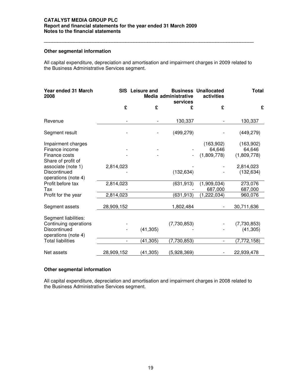#### **Other segmental information**

All capital expenditure, depreciation and amortisation and impairment charges in 2009 related to the Business Administrative Services segment.

**\_\_\_\_\_\_\_\_\_\_\_\_\_\_\_\_\_\_\_\_\_\_\_\_\_\_\_\_\_\_\_\_\_\_\_\_\_\_\_\_\_\_\_\_\_\_\_\_\_\_\_\_\_\_\_\_\_\_\_\_\_\_\_\_\_\_\_\_\_\_\_\_\_\_\_\_\_** 

| Year ended 31 March<br>2008         |                          | SIS Leisure and | Media administrative<br>services | <b>Business Unallocated</b><br>activities | <b>Total</b>  |
|-------------------------------------|--------------------------|-----------------|----------------------------------|-------------------------------------------|---------------|
|                                     | £                        | £               | £                                | £                                         | £             |
| Revenue                             |                          |                 | 130,337                          |                                           | 130,337       |
| Segment result                      |                          |                 | (499, 279)                       |                                           | (449, 279)    |
| Impairment charges                  |                          |                 |                                  | (163,902)                                 | (163,902)     |
| Finance income                      |                          |                 |                                  | 64,646                                    | 64,646        |
| Finance costs                       |                          |                 |                                  | (1,809,778)                               | (1,809,778)   |
| Share of profit of                  |                          |                 |                                  |                                           |               |
| associate (note 1)                  | 2,814,023                |                 |                                  |                                           | 2,814,023     |
| Discontinued<br>operations (note 4) |                          |                 | (132, 634)                       |                                           | (132, 634)    |
| Profit before tax                   | 2,814,023                |                 | (631, 913)                       | (1,909,034)                               | 273,076       |
| Tax                                 |                          |                 |                                  | 687,000                                   | 687,000       |
| Profit for the year                 | 2,814,023                |                 | (631,913)                        | (1, 222, 034)                             | 960,076       |
| Segment assets                      | 28,909,152               |                 | 1,802,484                        |                                           | 30,711,636    |
| Segment liabilities:                |                          |                 |                                  |                                           |               |
| Continuing operations               |                          |                 | (7,730,853)                      |                                           | (7,730,853)   |
| Discontinued                        |                          | (41, 305)       |                                  |                                           | (41, 305)     |
| operations (note 4)                 |                          |                 |                                  |                                           |               |
| <b>Total liabilities</b>            | $\overline{\phantom{0}}$ | (41, 305)       | (7,730,853)                      | $\overline{\phantom{a}}$                  | (7, 772, 158) |
| Net assets                          | 28,909,152               | (41, 305)       | (5,928,369)                      |                                           | 22,939,478    |

## **Other segmental information**

All capital expenditure, depreciation and amortisation and impairment charges in 2008 related to the Business Administrative Services segment.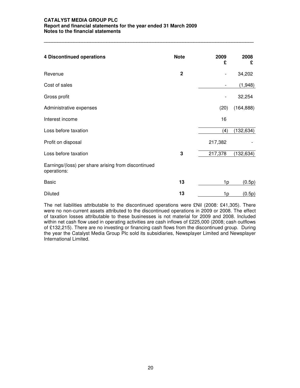| <b>4 Discontinued operations</b>                                   | <b>Note</b>    | 2009<br>£ | 2008<br>£  |
|--------------------------------------------------------------------|----------------|-----------|------------|
| Revenue                                                            | $\overline{2}$ | -         | 34,202     |
| Cost of sales                                                      |                |           | (1,948)    |
| Gross profit                                                       |                |           | 32,254     |
| Administrative expenses                                            |                | (20)      | (164, 888) |
| Interest income                                                    |                | 16        |            |
| Loss before taxation                                               |                | (4)       | (132, 634) |
| Profit on disposal                                                 |                | 217,382   |            |
| Loss before taxation                                               | 3              | 217,378   | (132, 634) |
| Earnings/(loss) per share arising from discontinued<br>operations: |                |           |            |
| <b>Basic</b>                                                       | 13             | 1p        | (0.5p)     |
| <b>Diluted</b>                                                     | 13             | 1p        | (0.5p)     |

**\_\_\_\_\_\_\_\_\_\_\_\_\_\_\_\_\_\_\_\_\_\_\_\_\_\_\_\_\_\_\_\_\_\_\_\_\_\_\_\_\_\_\_\_\_\_\_\_\_\_\_\_\_\_\_\_\_\_\_\_\_\_\_\_\_\_\_\_\_\_\_\_\_\_\_\_\_** 

The net liabilities attributable to the discontinued operations were £Nil (2008: £41,305). There were no non-current assets attributed to the discontinued operations in 2009 or 2008. The effect of taxation losses attributable to these businesses is not material for 2009 and 2008. Included within net cash flow used in operating activities are cash inflows of £225,000 (2008; cash outflows of £132,215). There are no investing or financing cash flows from the discontinued group. During the year the Catalyst Media Group Plc sold its subsidiaries, Newsplayer Limited and Newsplayer International Limited.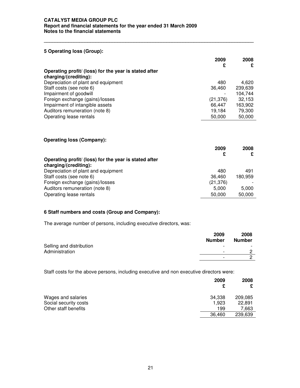#### **5 Operating loss (Group):**

|                                                       | 2009      | 2008    |
|-------------------------------------------------------|-----------|---------|
|                                                       | £         | £       |
| Operating profit/ (loss) for the year is stated after |           |         |
| charging/(crediting):                                 |           |         |
| Depreciation of plant and equipment                   | 480       | 4.620   |
| Staff costs (see note 6)                              | 36.460    | 239,639 |
| Impairment of goodwill                                |           | 104.744 |
| Foreign exchange (gains)/losses                       | (21, 376) | 32,153  |
| Impairment of intangible assets                       | 66.447    | 163,902 |
| Auditors remuneration (note 8)                        | 19.184    | 79,300  |
| Operating lease rentals                               | 50,000    | 50,000  |

**\_\_\_\_\_\_\_\_\_\_\_\_\_\_\_\_\_\_\_\_\_\_\_\_\_\_\_\_\_\_\_\_\_\_\_\_\_\_\_\_\_\_\_\_\_\_\_\_\_\_\_\_\_\_\_\_\_\_\_\_\_\_\_\_\_\_\_\_\_\_\_\_\_\_\_\_\_** 

# **Operating loss (Company):**

|                                                       | 2009<br>£ | 2008    |
|-------------------------------------------------------|-----------|---------|
| Operating profit/ (loss) for the year is stated after |           |         |
| charging/(crediting):                                 |           |         |
| Depreciation of plant and equipment                   | 480       | 491     |
| Staff costs (see note 6)                              | 36.460    | 180,959 |
| Foreign exchange (gains)/losses                       | (21, 376) |         |
| Auditors remuneration (note 8)                        | 5.000     | 5.000   |
| Operating lease rentals                               | 50,000    | 50,000  |
|                                                       |           |         |

# **6 Staff numbers and costs (Group and Company):**

The average number of persons, including executive directors, was:

|                          | 2009<br><b>Number</b>    | 2008<br><b>Number</b> |
|--------------------------|--------------------------|-----------------------|
| Selling and distribution | ۰                        |                       |
| Administration           | $\overline{\phantom{0}}$ |                       |
|                          | ۰                        |                       |

Staff costs for the above persons, including executive and non executive directors were:

|                       | 2009<br>£ | 2008    |
|-----------------------|-----------|---------|
| Wages and salaries    | 34,338    | 209,085 |
| Social security costs | 1.923     | 22.891  |
| Other staff benefits  | 199       | 7,663   |
|                       | 36,460    | 239,639 |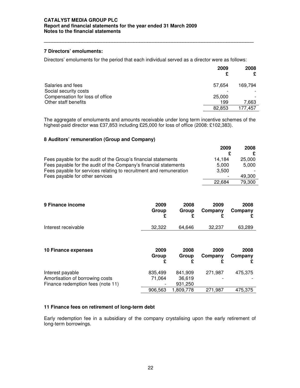#### **7 Directors' emoluments:**

Directors' emoluments for the period that each individual served as a director were as follows:

**\_\_\_\_\_\_\_\_\_\_\_\_\_\_\_\_\_\_\_\_\_\_\_\_\_\_\_\_\_\_\_\_\_\_\_\_\_\_\_\_\_\_\_\_\_\_\_\_\_\_\_\_\_\_\_\_\_\_\_\_\_\_\_\_\_\_\_\_\_\_\_\_\_\_\_\_\_** 

|                                 | 2009   | 2008    |
|---------------------------------|--------|---------|
| Salaries and fees               | 57.654 | 169.794 |
| Social security costs           |        |         |
| Compensation for loss of office | 25,000 |         |
| Other staff benefits            | 199    | 7,663   |
|                                 | 82,853 | 177.457 |
|                                 |        |         |

The aggregate of emoluments and amounts receivable under long term incentive schemes of the highest-paid director was £37,853 including £25,000 for loss of office (2008: £102,383).

#### **8 Auditors' remuneration (Group and Company)**

|                                                                    | 2009   | 2008   |
|--------------------------------------------------------------------|--------|--------|
|                                                                    |        |        |
| Fees payable for the audit of the Group's financial statements     | 14.184 | 25,000 |
| Fees payable for the audit of the Company's financial statements   | 5.000  | 5.000  |
| Fees payable for services relating to recruitment and remuneration | 3.500  |        |
| Fees payable for other services                                    | -      | 49.300 |
|                                                                    | 22.684 | 79.300 |

| 9 Finance income    | 2009   | 2008   | 2009    | 2008    |
|---------------------|--------|--------|---------|---------|
|                     | Group  | Group  | Company | Company |
| Interest receivable | 32.322 | 64.646 | 32.237  | 63,289  |

| <b>10 Finance expenses</b>        | 2009<br>Group | 2008<br>Group | 2009<br>Company | 2008<br>Company |
|-----------------------------------|---------------|---------------|-----------------|-----------------|
| Interest payable                  | 835,499       | 841,909       | 271.987         | 475.375         |
| Amortisation of borrowing costs   | 71,064        | 36,619        |                 |                 |
| Finance redemption fees (note 11) | -             | 931,250       |                 |                 |
|                                   | 906,563       | ,809,778      | 271.987         | 475.375         |

#### **11 Finance fees on retirement of long-term debt**

Early redemption fee in a subsidiary of the company crystalising upon the early retirement of long-term borrowings.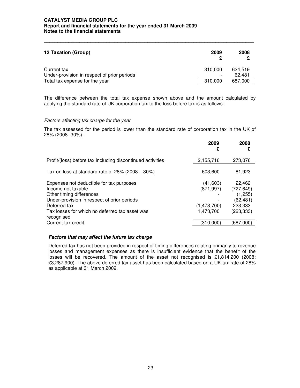| 12 Taxation (Group)                                        | 2009    | 2008              |
|------------------------------------------------------------|---------|-------------------|
| Current tax<br>Under-provision in respect of prior periods | 310.000 | 624.519<br>62.481 |
| Total tax expense for the year                             | 310,000 | 687,000           |

**\_\_\_\_\_\_\_\_\_\_\_\_\_\_\_\_\_\_\_\_\_\_\_\_\_\_\_\_\_\_\_\_\_\_\_\_\_\_\_\_\_\_\_\_\_\_\_\_\_\_\_\_\_\_\_\_\_\_\_\_\_\_\_\_\_\_\_\_\_\_\_\_\_\_\_\_\_** 

The difference between the total tax expense shown above and the amount calculated by applying the standard rate of UK corporation tax to the loss before tax is as follows:

#### Factors affecting tax charge for the year

The tax assessed for the period is lower than the standard rate of corporation tax in the UK of 28% (2008 -30%).

|                                                                                                                                                                                                                           | 2009<br>£                                          | 2008<br>£                                                            |
|---------------------------------------------------------------------------------------------------------------------------------------------------------------------------------------------------------------------------|----------------------------------------------------|----------------------------------------------------------------------|
| Profit/(loss) before tax including discontinued activities                                                                                                                                                                | 2,155,716                                          | 273,076                                                              |
| Tax on loss at standard rate of 28% (2008 $-$ 30%)                                                                                                                                                                        | 603.600                                            | 81,923                                                               |
| Expenses not deductible for tax purposes<br>Income not taxable<br>Other timing differences<br>Under-provision in respect of prior periods<br>Deferred tax<br>Tax losses for which no deferred tax asset was<br>recognised | (41,603)<br>(871, 997)<br>(1,473,700)<br>1,473,700 | 22.462<br>(727, 649)<br>(1,255)<br>(62,481)<br>223,333<br>(223, 333) |
| Current tax credit                                                                                                                                                                                                        | (310.000)                                          | (687.000)                                                            |

#### **Factors that may affect the future tax charge**

Deferred tax has not been provided in respect of timing differences relating primarily to revenue losses and management expenses as there is insufficient evidence that the benefit of the losses will be recovered. The amount of the asset not recognised is £1,814,200 (2008: £3,287,900). The above deferred tax asset has been calculated based on a UK tax rate of 28% as applicable at 31 March 2009.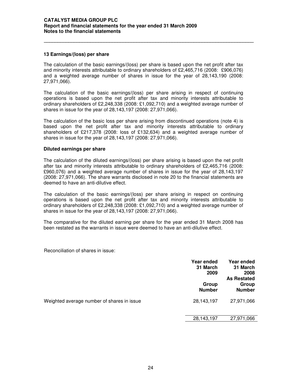#### **13 Earnings/(loss) per share**

 The calculation of the basic earnings/(loss) per share is based upon the net profit after tax and minority interests attributable to ordinary shareholders of £2,465,716 (2008: £906,076) and a weighted average number of shares in issue for the year of 28,143,190 (2008: 27,971,066).

**\_\_\_\_\_\_\_\_\_\_\_\_\_\_\_\_\_\_\_\_\_\_\_\_\_\_\_\_\_\_\_\_\_\_\_\_\_\_\_\_\_\_\_\_\_\_\_\_\_\_\_\_\_\_\_\_\_\_\_\_\_\_\_\_\_\_\_\_\_\_\_\_\_\_\_\_\_** 

The calculation of the basic earnings/(loss) per share arising in respect of continuing operations is based upon the net profit after tax and minority interests attributable to ordinary shareholders of £2,248,338 (2008: £1,092,710) and a weighted average number of shares in issue for the year of 28,143,197 (2008: 27,971,066).

The calculation of the basic loss per share arising from discontinued operations (note 4) is based upon the net profit after tax and minority interests attributable to ordinary shareholders of £217,378 (2008: loss of £132,634) and a weighted average number of shares in issue for the year of 28,143,197 (2008: 27,971,066).

#### **Diluted earnings per share**

The calculation of the diluted earnings/(loss) per share arising is based upon the net profit after tax and minority interests attributable to ordinary shareholders of £2,465,716 (2008: £960,076) and a weighted average number of shares in issue for the year of 28,143,197 (2008: 27,971,066). The share warrants disclosed in note 20 to the financial statements are deemed to have an anti-dilutive effect.

The calculation of the basic earnings/(loss) per share arising in respect on continuing operations is based upon the net profit after tax and minority interests attributable to ordinary shareholders of £2,248,338 (2008: £1,092,710) and a weighted average number of shares in issue for the year of 28,143,197 (2008: 27,971,066).

The comparative for the diluted earning per share for the year ended 31 March 2008 has been restated as the warrants in issue were deemed to have an anti-dilutive effect.

Reconciliation of shares in issue:

|                                            | Year ended<br>31 March<br>2009 | Year ended<br>31 March<br>2008<br><b>As Restated</b> |
|--------------------------------------------|--------------------------------|------------------------------------------------------|
|                                            | Group<br><b>Number</b>         | Group<br><b>Number</b>                               |
| Weighted average number of shares in issue | 28,143,197                     | 27,971,066                                           |
|                                            | 28,143,197                     | 27,971,066                                           |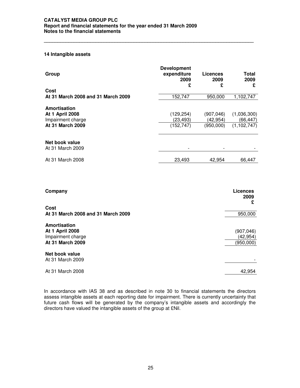# **14 Intangible assets**

| Group                                                                                  | <b>Development</b><br>expenditure<br>2009<br>£ | <b>Licences</b><br>2009<br>£         | <b>Total</b><br>2009<br>£                 |
|----------------------------------------------------------------------------------------|------------------------------------------------|--------------------------------------|-------------------------------------------|
| Cost<br>At 31 March 2008 and 31 March 2009                                             | 152,747                                        | 950,000                              | 1,102,747                                 |
| Amortisation<br><b>At 1 April 2008</b><br>Impairment charge<br>At 31 March 2009        | (129, 254)<br>(23, 493)<br>(152, 747)          | (907, 046)<br>(42, 954)<br>(950,000) | (1,036,300)<br>(66, 447)<br>(1, 102, 747) |
| Net book value<br>At 31 March 2009                                                     |                                                |                                      |                                           |
| At 31 March 2008                                                                       | 23,493                                         | 42,954                               | 66,447                                    |
| Company                                                                                |                                                |                                      | Licences<br>2009                          |
| Cost<br>At 31 March 2008 and 31 March 2009                                             |                                                |                                      | £<br>950,000                              |
|                                                                                        |                                                |                                      |                                           |
| <b>Amortisation</b><br><b>At 1 April 2008</b><br>Impairment charge<br>At 31 March 2009 |                                                |                                      | (907, 046)<br>(42, 954)<br>(950,000)      |
| Net book value                                                                         |                                                |                                      |                                           |

**\_\_\_\_\_\_\_\_\_\_\_\_\_\_\_\_\_\_\_\_\_\_\_\_\_\_\_\_\_\_\_\_\_\_\_\_\_\_\_\_\_\_\_\_\_\_\_\_\_\_\_\_\_\_\_\_\_\_\_\_\_\_\_\_\_\_\_\_\_\_\_\_\_\_\_\_\_** 

At 31 March 2009 - At 31 March 2008 **42,954** 

In accordance with IAS 38 and as described in note 30 to financial statements the directors assess intangible assets at each reporting date for impairment. There is currently uncertainty that future cash flows will be generated by the company's intangible assets and accordingly the directors have valued the intangible assets of the group at £Nil.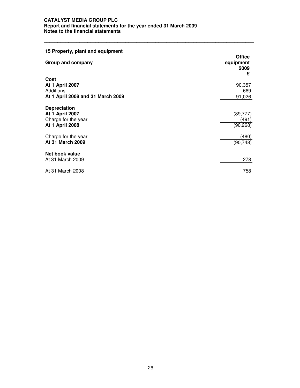| Group and company<br>equipment<br>2009<br>£<br>Cost<br>At 1 April 2007<br>90,357<br>Additions<br>669<br>91,026<br>At 1 April 2008 and 31 March 2009<br><b>Depreciation</b><br>At 1 April 2007<br>Charge for the year<br>(491)<br><b>At 1 April 2008</b><br>(90, 268)<br>(480)<br>Charge for the year<br>At 31 March 2009<br>(90, 748)<br>Net book value<br>278<br>At 31 March 2009 | 15 Property, plant and equipment | <b>Office</b> |
|------------------------------------------------------------------------------------------------------------------------------------------------------------------------------------------------------------------------------------------------------------------------------------------------------------------------------------------------------------------------------------|----------------------------------|---------------|
|                                                                                                                                                                                                                                                                                                                                                                                    |                                  |               |
|                                                                                                                                                                                                                                                                                                                                                                                    |                                  |               |
|                                                                                                                                                                                                                                                                                                                                                                                    |                                  |               |
|                                                                                                                                                                                                                                                                                                                                                                                    |                                  |               |
|                                                                                                                                                                                                                                                                                                                                                                                    |                                  |               |
|                                                                                                                                                                                                                                                                                                                                                                                    |                                  |               |
|                                                                                                                                                                                                                                                                                                                                                                                    |                                  | (89, 777)     |
|                                                                                                                                                                                                                                                                                                                                                                                    |                                  |               |
|                                                                                                                                                                                                                                                                                                                                                                                    |                                  |               |
|                                                                                                                                                                                                                                                                                                                                                                                    |                                  |               |
|                                                                                                                                                                                                                                                                                                                                                                                    |                                  |               |
|                                                                                                                                                                                                                                                                                                                                                                                    |                                  |               |
|                                                                                                                                                                                                                                                                                                                                                                                    |                                  |               |
|                                                                                                                                                                                                                                                                                                                                                                                    |                                  |               |
|                                                                                                                                                                                                                                                                                                                                                                                    | At 31 March 2008                 | 758           |

**\_\_\_\_\_\_\_\_\_\_\_\_\_\_\_\_\_\_\_\_\_\_\_\_\_\_\_\_\_\_\_\_\_\_\_\_\_\_\_\_\_\_\_\_\_\_\_\_\_\_\_\_\_\_\_\_\_\_\_\_\_\_\_\_\_\_\_\_\_\_\_\_\_\_\_\_\_**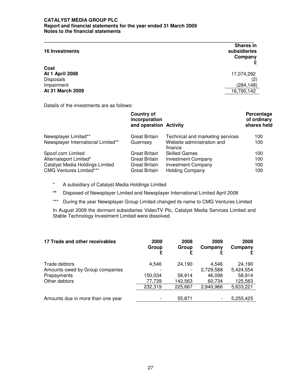| <b>16 Investments</b>  | Shares in<br>subsidiaries<br>Company |
|------------------------|--------------------------------------|
| Cost                   |                                      |
| <b>At 1 April 2008</b> | 17,074,292                           |
| Disposals              | (2)                                  |
| Impairment             | (284, 148)                           |
| At 31 March 2009       | 16,790,142                           |

Details of the investments are as follows:

|                                    | <b>Country of</b><br>incorporation<br>and operation Activity |                                       | Percentage<br>of ordinary<br>shares held |
|------------------------------------|--------------------------------------------------------------|---------------------------------------|------------------------------------------|
| Newsplayer Limited**               | Great Britain                                                | Technical and marketing services      | 100                                      |
| Newsplayer International Limited** | Guernsev                                                     | Website administration and<br>finance | 100                                      |
| Spoof.com Limited                  | <b>Great Britain</b>                                         | <b>Skilled Games</b>                  | 100                                      |
| Alternateport Limited*             | Great Britain                                                | <b>Investment Company</b>             | 100                                      |
| Catalyst Media Holdings Limited    | Great Britain                                                | <b>Investment Company</b>             | 100                                      |
| <b>CMG Ventures Limited***</b>     | Great Britain                                                | <b>Holding Company</b>                | 100                                      |

- \* A subsidiary of Catalyst Media Holdings Limited
- **\*\*** Disposed of Newsplayer Limited and Newsplayer International Limited April 2008
- \*\*\* During the year Newsplayer Group Limited changed its name to CMG Ventures Limited

In August 2009 the dormant subsidiaries VideoTV Plc, Catalyst Media Services Limited and Stable Technology Investment Limited were dissolved.

| 17 Trade and other receivables    | 2009<br>Group | 2008<br>Group | 2009<br>Company | 2008<br>Company |
|-----------------------------------|---------------|---------------|-----------------|-----------------|
| Trade debtors                     | 4.546         | 24,190        | 4.546           | 24,190          |
| Amounts owed by Group companies   |               |               | 2,729,588       | 5,424,554       |
| Prepayments                       | 150,034       | 58,914        | 46,098          | 58,914          |
| Other debtors                     | 77,739        | 142,563       | 60,734          | 125,563         |
|                                   | 232,319       | 225,667       | 2,840,966       | 5,633,221       |
|                                   |               |               |                 |                 |
| Amounts due in more than one year |               | 55,871        |                 | 5,255,425       |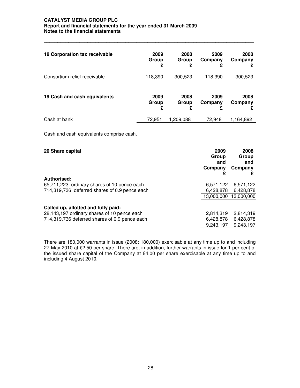| <b>18 Corporation tax receivable</b> | 2009<br>Group<br>£ | 2008<br>Group<br>£ | 2009<br>Company      | 2008<br>Company |
|--------------------------------------|--------------------|--------------------|----------------------|-----------------|
| Consortium relief receivable         | 118,390            | 300,523            | 118,390              | 300,523         |
| 19 Cash and cash equivalents         | 2009<br>Group<br>£ | 2008<br>Group<br>£ | 2009<br>Company<br>£ | 2008<br>Company |
| Cash at bank                         | 72,951             | 1,209,088          | 72,948               | 1,164,892       |

**\_\_\_\_\_\_\_\_\_\_\_\_\_\_\_\_\_\_\_\_\_\_\_\_\_\_\_\_\_\_\_\_\_\_\_\_\_\_\_\_\_\_\_\_\_\_\_\_\_\_\_\_\_\_\_\_\_\_\_\_\_\_\_\_\_\_\_\_\_\_\_\_\_\_\_\_\_** 

Cash and cash equivalents comprise cash.

| 20 Share capital                                                                             | 2009<br>Group<br>and<br>Company<br>£ | 2008<br>Group<br>and<br>Company |
|----------------------------------------------------------------------------------------------|--------------------------------------|---------------------------------|
| Authorised:                                                                                  |                                      |                                 |
| 65,711,223 ordinary shares of 10 pence each                                                  | 6,571,122                            | 6,571,122                       |
| 714,319,736 deferred shares of 0.9 pence each                                                | 6,428,878                            | 6,428,878                       |
|                                                                                              | 13.000.000                           | 13,000,000                      |
| Called up, allotted and fully paid:                                                          |                                      |                                 |
|                                                                                              | 2,814,319                            | 2,814,319                       |
|                                                                                              | 6,428,878                            | 6,428,878                       |
|                                                                                              | 9,243,197                            | 9,243,197                       |
| 28,143,197 ordinary shares of 10 pence each<br>714,319,736 deferred shares of 0.9 pence each |                                      |                                 |

There are 180,000 warrants in issue (2008: 180,000) exercisable at any time up to and including 27 May 2010 at £2.50 per share. There are, in addition, further warrants in issue for 1 per cent of the issued share capital of the Company at £4.00 per share exercisable at any time up to and including 4 August 2010.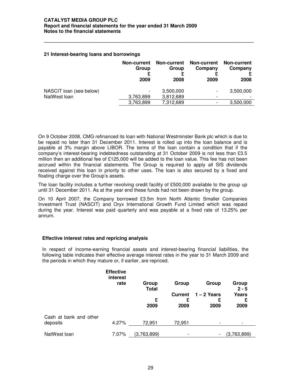#### **21 Interest-bearing loans and borrowings**

|                         | <b>Non-current</b><br>Group<br>2009 | Non-current<br>Group<br>2008 | <b>Non-current</b><br>Company<br>2009 | Non-current<br>Company<br>2008 |
|-------------------------|-------------------------------------|------------------------------|---------------------------------------|--------------------------------|
| NASCIT loan (see below) |                                     | 3,500,000                    |                                       | 3,500,000                      |
| NatWest loan            | 3,763,899                           | 3,812,689                    | $\overline{\phantom{0}}$              |                                |
|                         | 3,763,899                           | 7,312,689                    |                                       | 3,500,000                      |
|                         |                                     |                              |                                       |                                |

**\_\_\_\_\_\_\_\_\_\_\_\_\_\_\_\_\_\_\_\_\_\_\_\_\_\_\_\_\_\_\_\_\_\_\_\_\_\_\_\_\_\_\_\_\_\_\_\_\_\_\_\_\_\_\_\_\_\_\_\_\_\_\_\_\_\_\_\_\_\_\_\_\_\_\_\_\_** 

On 9 October 2008, CMG refinanced its loan with National Westminster Bank plc which is due to be repaid no later than 31 December 2011. Interest is rolled up into the loan balance and is payable at 3% margin above LIBOR. The terms of the loan contain a condition that if the company's interest-bearing indebtedness outstanding at 31 October 2009 is not less than £3.5 million then an additional fee of £125,000 will be added to the loan value. This fee has not been accrued within the financial statements. The Group is required to apply all SIS dividends received against this loan in priority to other uses. The loan is also secured by a fixed and floating charge over the Group's assets.

The loan facility includes a further revolving credit facility of £500,000 available to the group up until 31 December 2011. As at the year end these funds had not been drawn by the group.

On 10 April 2007, the Company borrowed £3.5m from North Atlantic Smaller Companies Investment Trust (NASCIT) and Oryx International Growth Fund Limited which was repaid during the year. Interest was paid quarterly and was payable at a fixed rate of 13.25% per annum.

#### **Effective interest rates and repricing analysis**

 In respect of income-earning financial assets and interest-bearing financial liabilities, the following table indicates their effective average interest rates in the year to 31 March 2009 and the periods in which they mature or, if earlier, are repriced.

|                                    | <b>Effective</b><br>interest<br>rate | Group<br><b>Total</b><br>£<br>2009 | Group<br><b>Current</b><br>£<br>2009 | Group<br>$1 - 2$ Years<br>£<br>2009 | Group<br>$2 - 5$<br>Years<br>£<br>2009 |
|------------------------------------|--------------------------------------|------------------------------------|--------------------------------------|-------------------------------------|----------------------------------------|
| Cash at bank and other<br>deposits | 4.27%                                | 72,951                             | 72,951                               | $\overline{\phantom{a}}$            |                                        |
| NatWest loan                       | 7.07%                                | (3,763,899)                        |                                      | ٠                                   | (3,763,899)                            |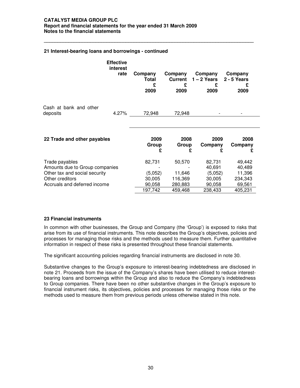| 21 Interest-bearing loans and borrowings - continued                                                                                 |                                      |                                                  |                                                   |                                                            |                                                            |
|--------------------------------------------------------------------------------------------------------------------------------------|--------------------------------------|--------------------------------------------------|---------------------------------------------------|------------------------------------------------------------|------------------------------------------------------------|
|                                                                                                                                      | <b>Effective</b><br>interest<br>rate | Company<br>Total<br>£<br>2009                    | Company<br><b>Current</b><br>£<br>2009            | Company<br>$1 - 2$ Years<br>£<br>2009                      | Company<br>2 - 5 Years<br>£<br>2009                        |
| Cash at bank and other<br>deposits                                                                                                   | 4.27%                                | 72,948                                           | 72,948                                            |                                                            |                                                            |
| 22 Trade and other payables                                                                                                          |                                      | 2009<br>Group<br>£                               | 2008<br>Group<br>£                                | 2009<br>Company<br>£                                       | 2008<br>Company<br>£                                       |
| Trade payables<br>Amounts due to Group companies<br>Other tax and social security<br>Other creditors<br>Accruals and deferred income |                                      | 82,731<br>(5,052)<br>30,005<br>90,058<br>197,742 | 50,570<br>11,646<br>116,369<br>280,883<br>459,468 | 82,731<br>40,691<br>(5,052)<br>30,005<br>90,058<br>238,433 | 49,442<br>40,489<br>11,396<br>234,343<br>69,561<br>405,231 |

**\_\_\_\_\_\_\_\_\_\_\_\_\_\_\_\_\_\_\_\_\_\_\_\_\_\_\_\_\_\_\_\_\_\_\_\_\_\_\_\_\_\_\_\_\_\_\_\_\_\_\_\_\_\_\_\_\_\_\_\_\_\_\_\_\_\_\_\_\_\_\_\_\_\_\_\_\_** 

# **23 Financial instruments**

In common with other businesses, the Group and Company (the 'Group') is exposed to risks that arise from its use of financial instruments. This note describes the Group's objectives, policies and processes for managing those risks and the methods used to measure them. Further quantitative information in respect of these risks is presented throughout these financial statements.

The significant accounting policies regarding financial instruments are disclosed in note 30.

Substantive changes to the Group's exposure to interest-bearing indebtedness are disclosed in note 21. Proceeds from the issue of the Company's shares have been utilised to reduce interestbearing loans and borrowings within the Group and also to reduce the Company's indebtedness to Group companies. There have been no other substantive changes in the Group's exposure to financial instrument risks, its objectives, policies and processes for managing those risks or the methods used to measure them from previous periods unless otherwise stated in this note.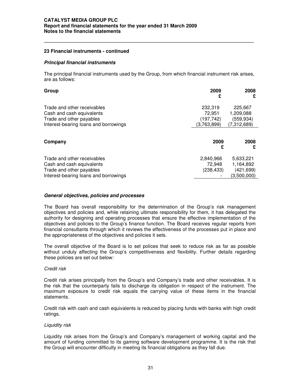#### **23 Financial instruments - continued**

#### **Principal financial instruments**

The principal financial instruments used by the Group, from which financial instrument risk arises, are as follows:

**\_\_\_\_\_\_\_\_\_\_\_\_\_\_\_\_\_\_\_\_\_\_\_\_\_\_\_\_\_\_\_\_\_\_\_\_\_\_\_\_\_\_\_\_\_\_\_\_\_\_\_\_\_\_\_\_\_\_\_\_\_\_\_\_\_\_\_\_\_\_\_\_\_\_\_\_\_** 

| Group                                                    | 2009<br>£         | 2008<br>£            |
|----------------------------------------------------------|-------------------|----------------------|
| Trade and other receivables<br>Cash and cash equivalents | 232,319<br>72,951 | 225,667<br>1,209,088 |
| Trade and other payables                                 | (197, 742)        | (559,934)            |
| Interest-bearing loans and borrowings                    | (3,763,899)       | (7,312,689)          |
| Company                                                  | 2009<br>£         | 2008<br>£            |
| Trade and other receivables                              | 2,840,966         | 5,633,221            |
| Cash and cash equivalents                                | 72,948            | 1,164,892            |
| Trade and other payables                                 | (238,433)         | (421, 699)           |
| Interest-bearing loans and borrowings                    |                   | (3,500,000)          |

#### **General objectives, policies and processes**

The Board has overall responsibility for the determination of the Group's risk management objectives and policies and, while retaining ultimate responsibility for them, it has delegated the authority for designing and operating processes that ensure the effective implementation of the objectives and policies to the Group's finance function. The Board receives regular reports from financial consultants through which it reviews the effectiveness of the processes put in place and the appropriateness of the objectives and policies it sets.

The overall objective of the Board is to set polices that seek to reduce risk as far as possible without unduly affecting the Group's competitiveness and flexibility. Further details regarding these policies are set out below:

#### Credit risk

Credit risk arises principally from the Group's and Company's trade and other receivables. It is the risk that the counterparty fails to discharge its obligation in respect of the instrument. The maximum exposure to credit risk equals the carrying value of these items in the financial statements.

Credit risk with cash and cash equivalents is reduced by placing funds with banks with high credit ratings.

#### Liquidity risk

Liquidity risk arises from the Group's and Company's management of working capital and the amount of funding committed to its gaming software development programme. It is the risk that the Group will encounter difficulty in meeting its financial obligations as they fall due.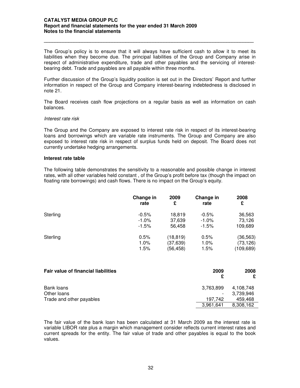The Group's policy is to ensure that it will always have sufficient cash to allow it to meet its liabilities when they become due. The principal liabilities of the Group and Company arise in respect of administrative expenditure, trade and other payables and the servicing of interestbearing debt. Trade and payables are all payable within three months.

**\_\_\_\_\_\_\_\_\_\_\_\_\_\_\_\_\_\_\_\_\_\_\_\_\_\_\_\_\_\_\_\_\_\_\_\_\_\_\_\_\_\_\_\_\_\_\_\_\_\_\_\_\_\_\_\_\_\_\_\_\_\_\_\_\_\_\_\_\_\_\_\_\_\_\_\_\_** 

Further discussion of the Group's liquidity position is set out in the Directors' Report and further information in respect of the Group and Company interest-bearing indebtedness is disclosed in note 21.

The Board receives cash flow projections on a regular basis as well as information on cash balances.

#### Interest rate risk

The Group and the Company are exposed to interest rate risk in respect of its interest-bearing loans and borrowings which are variable rate instruments. The Group and Company are also exposed to interest rate risk in respect of surplus funds held on deposit. The Board does not currently undertake hedging arrangements.

#### **Interest rate table**

The following table demonstrates the sensitivity to a reasonable and possible change in interest rates, with all other variables held constant , of the Group's profit before tax (though the impact on floating rate borrowings) and cash flows. There is no impact on the Group's equity.

|          | Change in<br>rate | 2009<br>£ | Change in<br>rate | 2008<br>£ |
|----------|-------------------|-----------|-------------------|-----------|
| Sterling | $-0.5%$           | 18,819    | $-0.5%$           | 36,563    |
|          | $-1.0\%$          | 37,639    | $-1.0\%$          | 73,126    |
|          | $-1.5%$           | 56,458    | $-1.5%$           | 109,689   |
| Sterling | 0.5%              | (18, 819) | 0.5%              | (36, 563) |
|          | $1.0\%$           | (37, 639) | $1.0\%$           | (73,126)  |
|          | $1.5\%$           | (56,458)  | 1.5%              | (109,689) |

| <b>Fair value of financial liabilities</b> | 2009<br>£                | 2008      |
|--------------------------------------------|--------------------------|-----------|
| Bank loans                                 | 3,763,899                | 4.108.748 |
| Other loans                                | $\overline{\phantom{a}}$ | 3.739.946 |
| Trade and other payables                   | 197.742                  | 459.468   |
|                                            | 3.961.641                | 8,308,162 |

The fair value of the bank loan has been calculated at 31 March 2009 as the interest rate is variable LIBOR rate plus a margin which management consider reflects current interest rates and current spreads for the entity. The fair value of trade and other payables is equal to the book values.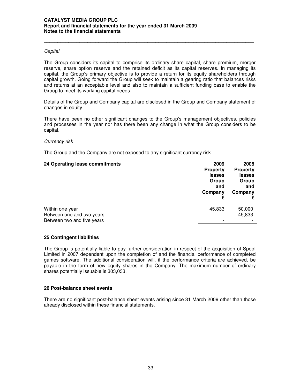# **Capital**

The Group considers its capital to comprise its ordinary share capital, share premium, merger reserve, share option reserve and the retained deficit as its capital reserves. In managing its capital, the Group's primary objective is to provide a return for its equity shareholders through capital growth. Going forward the Group will seek to maintain a gearing ratio that balances risks and returns at an acceptable level and also to maintain a sufficient funding base to enable the Group to meet its working capital needs.

**\_\_\_\_\_\_\_\_\_\_\_\_\_\_\_\_\_\_\_\_\_\_\_\_\_\_\_\_\_\_\_\_\_\_\_\_\_\_\_\_\_\_\_\_\_\_\_\_\_\_\_\_\_\_\_\_\_\_\_\_\_\_\_\_\_\_\_\_\_\_\_\_\_\_\_\_\_** 

Details of the Group and Company capital are disclosed in the Group and Company statement of changes in equity.

There have been no other significant changes to the Group's management objectives, policies and processes in the year nor has there been any change in what the Group considers to be capital.

#### Currency risk

The Group and the Company are not exposed to any significant currency risk.

| 24 Operating lease commitments                                             | 2009<br><b>Property</b><br>leases<br>Group<br>and<br>Company | 2008<br><b>Property</b><br>leases<br>Group<br>and<br>Company |
|----------------------------------------------------------------------------|--------------------------------------------------------------|--------------------------------------------------------------|
| Within one year<br>Between one and two years<br>Between two and five years | 45,833                                                       | 50,000<br>45,833                                             |

#### **25 Contingent liabilities**

The Group is potentially liable to pay further consideration in respect of the acquisition of Spoof Limited in 2007 dependent upon the completion of and the financial performance of completed games software. The additional consideration will, if the performance criteria are achieved, be payable in the form of new equity shares in the Company. The maximum number of ordinary shares potentially issuable is 303,033.

#### **26 Post-balance sheet events**

There are no significant post-balance sheet events arising since 31 March 2009 other than those already disclosed within these financial statements.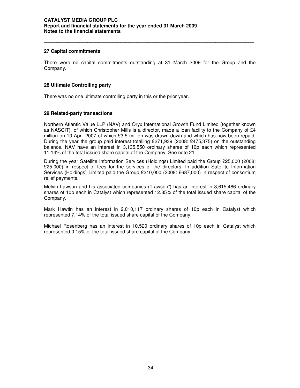#### **27 Capital commitments**

There were no capital commitments outstanding at 31 March 2009 for the Group and the Company.

**\_\_\_\_\_\_\_\_\_\_\_\_\_\_\_\_\_\_\_\_\_\_\_\_\_\_\_\_\_\_\_\_\_\_\_\_\_\_\_\_\_\_\_\_\_\_\_\_\_\_\_\_\_\_\_\_\_\_\_\_\_\_\_\_\_\_\_\_\_\_\_\_\_\_\_\_\_** 

## **28 Ultimate Controlling party**

There was no one ultimate controlling party in this or the prior year.

#### **29 Related-party transactions**

Northern Atlantic Value LLP (NAV) and Oryx International Growth Fund Limited (together known as NASCIT), of which Christopher Mills is a director, made a loan facility to the Company of £4 million on 10 April 2007 of which £3.5 million was drawn down and which has now been repaid. During the year the group paid interest totalling £271,939 (2008: £475,375) on the outstanding balance. NAV have an interest in 3,135,550 ordinary shares of 10p each which represented 11.14% of the total issued share capital of the Company. See note 21.

During the year Satellite Information Services (Holdings) Limited paid the Group £25,000 (2008: £25,000) in respect of fees for the services of the directors. In addition Satellite Information Services (Holdings) Limited paid the Group £310,000 (2008: £687,000) in respect of consortium relief payments.

Melvin Lawson and his associated companies ("Lawson") has an interest in 3,615,486 ordinary shares of 10p each in Catalyst which represented 12.85% of the total issued share capital of the Company.

Mark Hawtin has an interest in 2,010,117 ordinary shares of 10p each in Catalyst which represented 7.14% of the total issued share capital of the Company.

Michael Rosenberg has an interest in 10,520 ordinary shares of 10p each in Catalyst which represented 0.15% of the total issued share capital of the Company.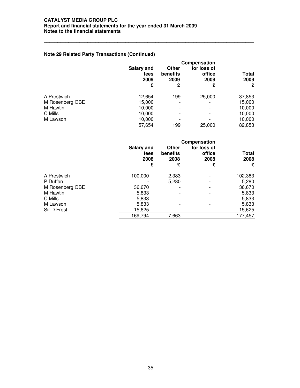# **Note 29 Related Party Transactions (Continued)**

|                 |                                 | Compensation                   |                                    |                           |  |
|-----------------|---------------------------------|--------------------------------|------------------------------------|---------------------------|--|
|                 | Salary and<br>fees<br>2009<br>£ | Other<br>benefits<br>2009<br>£ | for loss of<br>office<br>2009<br>£ | <b>Total</b><br>2009<br>£ |  |
| A Prestwich     | 12,654                          | 199                            | 25,000                             | 37,853                    |  |
| M Rosenberg OBE | 15,000                          |                                | $\blacksquare$                     | 15,000                    |  |
| M Hawtin        | 10,000                          |                                | $\overline{\phantom{a}}$           | 10,000                    |  |
| C Mills         | 10,000                          |                                | $\overline{\phantom{a}}$           | 10,000                    |  |
| M Lawson        | 10,000                          |                                |                                    | 10,000                    |  |
|                 | 57,654                          | 199                            | 25,000                             | 82,853                    |  |

**\_\_\_\_\_\_\_\_\_\_\_\_\_\_\_\_\_\_\_\_\_\_\_\_\_\_\_\_\_\_\_\_\_\_\_\_\_\_\_\_\_\_\_\_\_\_\_\_\_\_\_\_\_\_\_\_\_\_\_\_\_\_\_\_\_\_\_\_\_\_\_\_\_\_\_\_\_** 

|                 | Compensation                    |                                |                                    |                           |  |
|-----------------|---------------------------------|--------------------------------|------------------------------------|---------------------------|--|
|                 | Salary and<br>fees<br>2008<br>£ | Other<br>benefits<br>2008<br>£ | for loss of<br>office<br>2008<br>£ | <b>Total</b><br>2008<br>£ |  |
| A Prestwich     | 100,000                         | 2,383                          |                                    | 102,383                   |  |
| P Duffen        |                                 | 5,280                          |                                    | 5,280                     |  |
| M Rosenberg OBE | 36,670                          |                                |                                    | 36,670                    |  |
| M Hawtin        | 5,833                           |                                |                                    | 5,833                     |  |
| C Mills         | 5,833                           |                                |                                    | 5,833                     |  |
| M Lawson        | 5,833                           |                                |                                    | 5,833                     |  |
| Sir D Frost     | 15,625                          |                                |                                    | 15,625                    |  |
|                 | 169,794                         | 7,663                          |                                    | 177,457                   |  |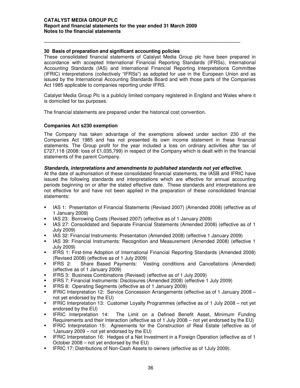#### **30 Basis of preparation and significant accounting policies**

These consolidated financial statements of Catalyst Media Group plc have been prepared in accordance with accepted International Financial Reporting Standards (IFRSs), International Accounting Standards (IAS) and International Financial Reporting Interpretations Committee (IFRIC) interpretations (collectively "IFRSs") as adopted for use in the European Union and as issued by the International Accounting Standards Board and with those parts of the Companies Act 1985 applicable to companies reporting under IFRS.

**\_\_\_\_\_\_\_\_\_\_\_\_\_\_\_\_\_\_\_\_\_\_\_\_\_\_\_\_\_\_\_\_\_\_\_\_\_\_\_\_\_\_\_\_\_\_\_\_\_\_\_\_\_\_\_\_\_\_\_\_\_\_\_\_\_\_\_\_\_\_\_\_** 

Catalyst Media Group Plc is a publicly limited company registered in England and Wales where it is domiciled for tax purposes.

The financial statements are prepared under the historical cost convention.

## **Companies Act s230 exemption**

The Company has taken advantage of the exemptions allowed under section 230 of the Companies Act 1985 and has not presented its own income statement in these financial statements. The Group profit for the year included a loss on ordinary activities after tax of £727,118 (2008: loss of £1,035,799) in respect of the Company which is dealt with in the financial statements of the parent Company.

## **Standards, interpretations and amendments to published standards not yet effective.**

At the date of authorisation of these consolidated financial statements, the IASB and IFRIC have issued the following standards and interpretations which are effective for annual accounting periods beginning on or after the stated effective date. These standards and interpretations are not effective for and have not been applied in the preparation of these consolidated financial statements:

- **IAS 1: Presentation of Financial Statements (Revised 2007) (Amended 2008) (effective as of** 1 January 2009)
- IAS 23: Borrowing Costs (Revised 2007) (effective as of 1 January 2009)
- IAS 27: Consolidated and Separate Financial Statements (Amended 2008) (effective as of 1 July 2009)
- IAS 32: Financial Instruments: Presentation (Amended 2008) (effective 1 January 2009)
- IAS 39: Financial Instruments: Recognition and Measurement (Amended 2008) (effective 1 July 2009)
- IFRS 1: First-time Adoption of International Financial Reporting Standards (Amended 2008) (Revised 2008) (effective as of 1 July 2009)
- **IFRS 2:** Share Based Payments: Vesting conditions and Cancellations (Amended) (effective as of 1 January 2009)
- **FIFRS 3: Business Combinations (Revised) (effective as of 1 July 2009)**
- IFRS 7: Financial Instruments: Disclosures (Amended 2008) (effective 1 July 2009)
- **FIFRS 8: Operating Segments (effective as of 1 January 2009)**
- IFRIC Interpretation 12: Service Concession Arrangements (effective as of 1 January 2008 not yet endorsed by the EU)
- IFRIC Interpretation 13: Customer Loyalty Programmes (effective as of 1 July 2008 not yet endorsed by the EU)
- **IFRIC** Interpretation 14: The Limit on a Defined Benefit Asset, Minimum Funding Requirements and their Interaction (effective as of 1 July 2008 – not yet endorsed by the EU)
- **IFRIC Interpretation 15: Agreements for the Construction of Real Estate (effective as of** 1January 2009 – not yet endorsed by the EU)
- IFRIC Interpretation 16: Hedges of a Net Investment in a Foreign Operation (effective as of 1 October 2008 – not yet endorsed by the EU)
- IFRIC 17: Distributions of Non-Cash Assets to owners (effective as of 1July 2009).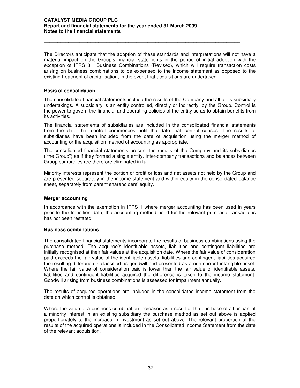The Directors anticipate that the adoption of these standards and interpretations will not have a material impact on the Group's financial statements in the period of initial adoption with the exception of IFRS 3: Business Combinations (Revised), which will require transaction costs arising on business combinations to be expensed to the income statement as opposed to the existing treatment of capitalisation, in the event that acquisitions are undertaken

**\_\_\_\_\_\_\_\_\_\_\_\_\_\_\_\_\_\_\_\_\_\_\_\_\_\_\_\_\_\_\_\_\_\_\_\_\_\_\_\_\_\_\_\_\_\_\_\_\_\_\_\_\_\_\_\_\_\_\_\_\_\_\_\_\_\_\_\_\_\_\_\_** 

#### **Basis of consolidation**

The consolidated financial statements include the results of the Company and all of its subsidiary undertakings. A subsidiary is an entity controlled, directly or indirectly, by the Group. Control is the power to govern the financial and operating policies of the entity so as to obtain benefits from its activities.

The financial statements of subsidiaries are included in the consolidated financial statements from the date that control commences until the date that control ceases. The results of subsidiaries have been included from the date of acquisition using the merger method of accounting or the acquisition method of accounting as appropriate.

The consolidated financial statements present the results of the Company and its subsidiaries ("the Group") as if they formed a single entity. Inter-company transactions and balances between Group companies are therefore eliminated in full.

Minority interests represent the portion of profit or loss and net assets not held by the Group and are presented separately in the income statement and within equity in the consolidated balance sheet, separately from parent shareholders' equity.

#### **Merger accounting**

In accordance with the exemption in IFRS 1 where merger accounting has been used in years prior to the transition date, the accounting method used for the relevant purchase transactions has not been restated.

#### **Business combinations**

The consolidated financial statements incorporate the results of business combinations using the purchase method. The acquiree's identifiable assets, liabilities and contingent liabilities are initially recognised at their fair values at the acquisition date. Where the fair value of consideration paid exceeds the fair value of the identifiable assets, liabilities and contingent liabilities acquired the resulting difference is classified as goodwill and presented as a non-current intangible asset. Where the fair value of consideration paid is lower than the fair value of identifiable assets, liabilities and contingent liabilities acquired the difference is taken to the income statement. Goodwill arising from business combinations is assessed for impairment annually.

The results of acquired operations are included in the consolidated income statement from the date on which control is obtained.

Where the value of a business combination increases as a result of the purchase of all or part of a minority interest in an existing subsidiary the purchase method as set out above is applied proportionately to the increase in investment as set out above. The relevant proportion of the results of the acquired operations is included in the Consolidated Income Statement from the date of the relevant acquisition.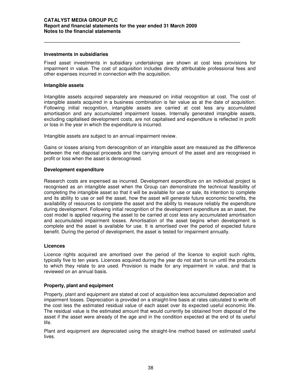#### **Investments in subsidiaries**

Fixed asset investments in subsidiary undertakings are shown at cost less provisions for impairment in value. The cost of acquisition includes directly attributable professional fees and other expenses incurred in connection with the acquisition.

**\_\_\_\_\_\_\_\_\_\_\_\_\_\_\_\_\_\_\_\_\_\_\_\_\_\_\_\_\_\_\_\_\_\_\_\_\_\_\_\_\_\_\_\_\_\_\_\_\_\_\_\_\_\_\_\_\_\_\_\_\_\_\_\_\_\_\_\_\_\_\_\_** 

#### **Intangible assets**

Intangible assets acquired separately are measured on initial recognition at cost. The cost of intangible assets acquired in a business combination is fair value as at the date of acquisition. Following initial recognition, intangible assets are carried at cost less any accumulated amortisation and any accumulated impairment losses. Internally generated intangible assets, excluding capitalised development costs, are not capitalised and expenditure is reflected in profit or loss in the year in which the expenditure is incurred.

Intangible assets are subject to an annual impairment review.

Gains or losses arising from derecognition of an intangible asset are measured as the difference between the net disposal proceeds and the carrying amount of the asset and are recognised in profit or loss when the asset is derecognised.

#### **Development expenditure**

Research costs are expensed as incurred. Development expenditure on an individual project is recognised as an intangible asset when the Group can demonstrate the technical feasibility of completing the intangible asset so that it will be available for use or sale, its intention to complete and its ability to use or sell the asset, how the asset will generate future economic benefits, the availability of resources to complete the asset and the ability to measure reliably the expenditure during development. Following initial recognition of the development expenditure as an asset, the cost model is applied requiring the asset to be carried at cost less any accumulated amortisation and accumulated impairment losses. Amortisation of the asset begins when development is complete and the asset is available for use. It is amortised over the period of expected future benefit. During the period of development, the asset is tested for impairment annually.

#### **Licences**

Licence rights acquired are amortised over the period of the licence to exploit such rights, typically five to ten years. Licences acquired during the year do not start to run until the products to which they relate to are used. Provision is made for any impairment in value, and that is reviewed on an annual basis.

#### **Property, plant and equipment**

Property, plant and equipment are stated at cost of acquisition less accumulated depreciation and impairment losses. Depreciation is provided on a straight-line basis at rates calculated to write off the cost less the estimated residual value of each asset over its expected useful economic life. The residual value is the estimated amount that would currently be obtained from disposal of the asset if the asset were already of the age and in the condition expected at the end of its useful life.

Plant and equipment are depreciated using the straight-line method based on estimated useful lives.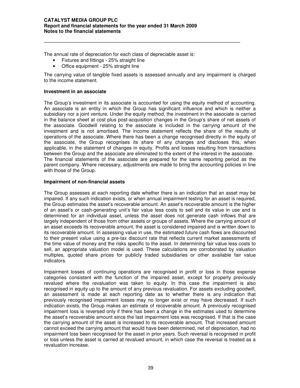The annual rate of depreciation for each class of depreciable asset is:

- Fixtures and fittings 25% straight line
- Office equipment 25% straight line

The carrying value of tangible fixed assets is assessed annually and any impairment is charged to the income statement.

**\_\_\_\_\_\_\_\_\_\_\_\_\_\_\_\_\_\_\_\_\_\_\_\_\_\_\_\_\_\_\_\_\_\_\_\_\_\_\_\_\_\_\_\_\_\_\_\_\_\_\_\_\_\_\_\_\_\_\_\_\_\_\_\_\_\_\_\_\_\_\_\_** 

#### **Investment in an associate**

The Group's investment in its associate is accounted for using the equity method of accounting. An associate is an entity in which the Group has significant influence and which is neither a subsidiary nor a joint venture. Under the equity method, the investment in the associate is carried in the balance sheet at cost plus post-acquisition changes in the Group's share of net assets of the associate. Goodwill relating to the associate is included in the carrying amount of the investment and is not amortised. The income statement reflects the share of the results of operations of the associate. Where there has been a change recognised directly in the equity of the associate, the Group recognises its share of any changes and discloses this, when applicable, in the statement of changes in equity. Profits and losses resulting from transactions between the Group and the associate are eliminated to the extent of the interest in the associate. The financial statements of the associate are prepared for the same reporting period as the parent company. Where necessary, adjustments are made to bring the accounting policies in line with those of the Group.

## **Impairment of non-financial assets**

The Group assesses at each reporting date whether there is an indication that an asset may be impaired. If any such indication exists, or when annual impairment testing for an asset is required, the Group estimates the asset's recoverable amount. An asset's recoverable amount is the higher of an asset's or cash-generating unit's fair value less costs to sell and its value in use and is determined for an individual asset, unless the asset does not generate cash inflows that are largely independent of those from other assets or groups of assets. Where the carrying amount of an asset exceeds its recoverable amount, the asset is considered impaired and is written down to its recoverable amount. In assessing value in use, the estimated future cash flows are discounted to their present value using a pre-tax discount rate that reflects current market assessments of the time value of money and the risks specific to the asset. In determining fair value less costs to sell, an appropriate valuation model is used. These calculations are corroborated by valuation multiples, quoted share prices for publicly traded subsidiaries or other available fair value indicators.

Impairment losses of continuing operations are recognised in profit or loss in those expense categories consistent with the function of the impaired asset, except for property previously revalued where the revaluation was taken to equity. In this case the impairment is also recognised in equity up to the amount of any previous revaluation. For assets excluding goodwill, an assessment is made at each reporting date as to whether there is any indication that previously recognised impairment losses may no longer exist or may have decreased. If such indication exists, the Group makes an estimate of recoverable amount. A previously recognised impairment loss is reversed only if there has been a change in the estimates used to determine the asset's recoverable amount since the last impairment loss was recognised. If that is the case the carrying amount of the asset is increased to its recoverable amount. That increased amount cannot exceed the carrying amount that would have been determined, net of depreciation, had no impairment loss been recognised for the asset in prior years. Such reversal is recognised in profit or loss unless the asset is carried at revalued amount, in which case the reversal is treated as a revaluation increase.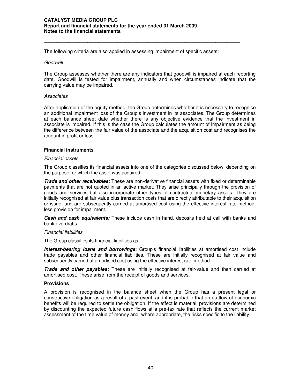The following criteria are also applied in assessing impairment of specific assets:

**\_\_\_\_\_\_\_\_\_\_\_\_\_\_\_\_\_\_\_\_\_\_\_\_\_\_\_\_\_\_\_\_\_\_\_\_\_\_\_\_\_\_\_\_\_\_\_\_\_\_\_\_\_\_\_\_\_\_\_\_\_\_\_\_\_\_\_\_\_\_\_\_** 

#### Goodwill

The Group assesses whether there are any indicators that goodwill is impaired at each reporting date. Goodwill is tested for impairment, annually and when circumstances indicate that the carrying value may be impaired.

#### **Associates**

After application of the equity method, the Group determines whether it is necessary to recognise an additional impairment loss of the Group's investment in its associates. The Group determines at each balance sheet date whether there is any objective evidence that the investment in associate is impaired. If this is the case the Group calculates the amount of impairment as being the difference between the fair value of the associate and the acquisition cost and recognises the amount in profit or loss.

#### **Financial instruments**

#### Financial assets

The Group classifies its financial assets into one of the categories discussed below, depending on the purpose for which the asset was acquired.

**Trade and other receivables:** These are non-derivative financial assets with fixed or determinable payments that are not quoted in an active market. They arise principally through the provision of goods and services but also incorporate other types of contractual monetary assets. They are initially recognised at fair value plus transaction costs that are directly attributable to their acquisition or issue, and are subsequently carried at amortised cost using the effective interest rate method, less provision for impairment.

**Cash and cash equivalents:** These include cash in hand, deposits held at call with banks and bank overdrafts.

#### Financial liabilities

The Group classifies its financial liabilities as:

**Interest-bearing loans and borrowings:** Group's financial liabilities at amortised cost include trade payables and other financial liabilities. These are initially recognised at fair value and subsequently carried at amortised cost using the effective interest rate method.

**Trade and other payables:** These are initially recognised at fair-value and then carried at amortised cost. These arise from the receipt of goods and services.

#### **Provisions**

A provision is recognised in the balance sheet when the Group has a present legal or constructive obligation as a result of a past event, and it is probable that an outflow of economic benefits will be required to settle the obligation. If the effect is material, provisions are determined by discounting the expected future cash flows at a pre-tax rate that reflects the current market assessment of the time value of money and, where appropriate, the risks specific to the liability.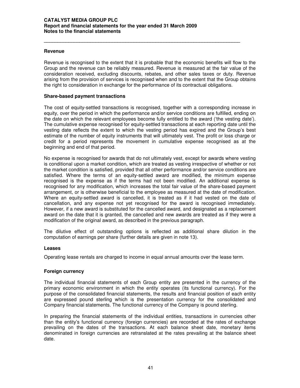#### **Revenue**

Revenue is recognised to the extent that it is probable that the economic benefits will flow to the Group and the revenue can be reliably measured. Revenue is measured at the fair value of the consideration received, excluding discounts, rebates, and other sales taxes or duty. Revenue arising from the provision of services is recognised when and to the extent that the Group obtains the right to consideration in exchange for the performance of its contractual obligations.

**\_\_\_\_\_\_\_\_\_\_\_\_\_\_\_\_\_\_\_\_\_\_\_\_\_\_\_\_\_\_\_\_\_\_\_\_\_\_\_\_\_\_\_\_\_\_\_\_\_\_\_\_\_\_\_\_\_\_\_\_\_\_\_\_\_\_\_\_\_\_\_\_** 

#### **Share-based payment transactions**

The cost of equity-settled transactions is recognised, together with a corresponding increase in equity, over the period in which the performance and/or service conditions are fulfilled, ending on the date on which the relevant employees become fully entitled to the award ('the vesting date'). The cumulative expense recognised for equity-settled transactions at each reporting date until the vesting date reflects the extent to which the vesting period has expired and the Group's best estimate of the number of equity instruments that will ultimately vest. The profit or loss charge or credit for a period represents the movement in cumulative expense recognised as at the beginning and end of that period.

No expense is recognised for awards that do not ultimately vest, except for awards where vesting is conditional upon a market condition, which are treated as vesting irrespective of whether or not the market condition is satisfied, provided that all other performance and/or service conditions are satisfied. Where the terms of an equity-settled award are modified, the minimum expense recognised is the expense as if the terms had not been modified. An additional expense is recognised for any modification, which increases the total fair value of the share-based payment arrangement, or is otherwise beneficial to the employee as measured at the date of modification. Where an equity-settled award is cancelled, it is treated as if it had vested on the date of cancellation, and any expense not yet recognised for the award is recognised immediately. However, if a new award is substituted for the cancelled award, and designated as a replacement award on the date that it is granted, the cancelled and new awards are treated as if they were a modification of the original award, as described in the previous paragraph.

The dilutive effect of outstanding options is reflected as additional share dilution in the computation of earnings per share (further details are given in note 13).

#### **Leases**

Operating lease rentals are charged to income in equal annual amounts over the lease term.

#### **Foreign currency**

The individual financial statements of each Group entity are presented in the currency of the primary economic environment in which the entity operates (its functional currency). For the purpose of the consolidated financial statements, the results and financial position of each entity are expressed pound sterling which is the presentation currency for the consolidated and Company financial statements. The functional currency of the Company is pound sterling.

In preparing the financial statements of the individual entities, transactions in currencies other than the entity's functional currency (foreign currencies) are recorded at the rates of exchange prevailing on the dates of the transactions. At each balance sheet date, monetary items denominated in foreign currencies are retranslated at the rates prevailing at the balance sheet date.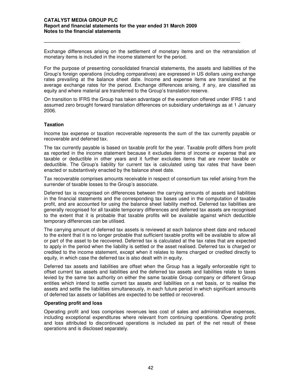Exchange differences arising on the settlement of monetary items and on the retranslation of monetary items is included in the income statement for the period.

**\_\_\_\_\_\_\_\_\_\_\_\_\_\_\_\_\_\_\_\_\_\_\_\_\_\_\_\_\_\_\_\_\_\_\_\_\_\_\_\_\_\_\_\_\_\_\_\_\_\_\_\_\_\_\_\_\_\_\_\_\_\_\_\_\_\_\_\_\_\_\_\_** 

For the purpose of presenting consolidated financial statements, the assets and liabilities of the Group's foreign operations (including comparatives) are expressed in US dollars using exchange rates prevailing at the balance sheet date. Income and expense items are translated at the average exchange rates for the period. Exchange differences arising, if any, are classified as equity and where material are transferred to the Group's translation reserve.

On transition to IFRS the Group has taken advantage of the exemption offered under IFRS 1 and assumed zero brought forward translation differences on subsidiary undertakings as at 1 January 2006.

#### **Taxation**

Income tax expense or taxation recoverable represents the sum of the tax currently payable or recoverable and deferred tax.

The tax currently payable is based on taxable profit for the year. Taxable profit differs from profit as reported in the income statement because it excludes items of income or expense that are taxable or deductible in other years and it further excludes items that are never taxable or deductible. The Group's liability for current tax is calculated using tax rates that have been enacted or substantively enacted by the balance sheet date.

Tax recoverable comprises amounts receivable in respect of consortium tax relief arising from the surrender of taxable losses to the Group's associate.

Deferred tax is recognised on differences between the carrying amounts of assets and liabilities in the financial statements and the corresponding tax bases used in the computation of taxable profit, and are accounted for using the balance sheet liability method. Deferred tax liabilities are generally recognised for all taxable temporary differences and deferred tax assets are recognised to the extent that it is probable that taxable profits will be available against which deductible temporary differences can be utilised.

The carrying amount of deferred tax assets is reviewed at each balance sheet date and reduced to the extent that it is no longer probable that sufficient taxable profits will be available to allow all or part of the asset to be recovered. Deferred tax is calculated at the tax rates that are expected to apply in the period when the liability is settled or the asset realised. Deferred tax is charged or credited to the income statement, except when it relates to items charged or credited directly to equity, in which case the deferred tax is also dealt with in equity.

Deferred tax assets and liabilities are offset when the Group has a legally enforceable right to offset current tax assets and liabilities and the deferred tax assets and liabilities relate to taxes levied by the same tax authority on either the same taxable Group company or different Group entities which intend to settle current tax assets and liabilities on a net basis, or to realise the assets and settle the liabilities simultaneously, in each future period in which significant amounts of deferred tax assets or liabilities are expected to be settled or recovered.

#### **Operating profit and loss**

Operating profit and loss comprises revenues less cost of sales and administrative expenses, including exceptional expenditures where relevant from continuing operations. Operating profit and loss attributed to discontinued operations is included as part of the net result of these operations and is disclosed separately.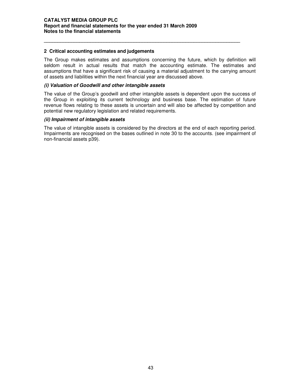#### **2 Critical accounting estimates and judgements**

The Group makes estimates and assumptions concerning the future, which by definition will seldom result in actual results that match the accounting estimate. The estimates and assumptions that have a significant risk of causing a material adjustment to the carrying amount of assets and liabilities within the next financial year are discussed above.

**\_\_\_\_\_\_\_\_\_\_\_\_\_\_\_\_\_\_\_\_\_\_\_\_\_\_\_\_\_\_\_\_\_\_\_\_\_\_\_\_\_\_\_\_\_\_\_\_\_\_\_\_\_\_\_\_\_\_\_\_\_\_\_\_\_\_\_\_\_\_\_\_** 

#### **(i) Valuation of Goodwill and other intangible assets**

The value of the Group's goodwill and other intangible assets is dependent upon the success of the Group in exploiting its current technology and business base. The estimation of future revenue flows relating to these assets is uncertain and will also be affected by competition and potential new regulatory legislation and related requirements.

#### **(ii) Impairment of intangible assets**

The value of intangible assets is considered by the directors at the end of each reporting period. Impairments are recognised on the bases outlined in note 30 to the accounts. (see impairment of non-financial assets p39).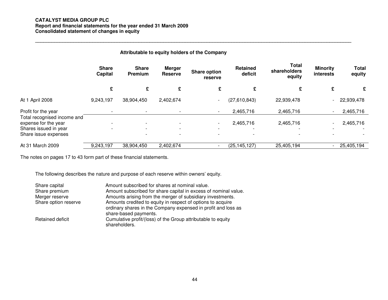# **CATALYST MEDIA GROUP PLC Report and financial statements for the year ended 31 March 2009 Consolidated statement of changes in equity**

| Attributable to equity holders of the Company                                |                                |                                                      |                                 |                                                      |                              |                                        |                              |                        |
|------------------------------------------------------------------------------|--------------------------------|------------------------------------------------------|---------------------------------|------------------------------------------------------|------------------------------|----------------------------------------|------------------------------|------------------------|
|                                                                              | <b>Share</b><br><b>Capital</b> | <b>Share</b><br><b>Premium</b>                       | <b>Merger</b><br><b>Reserve</b> | <b>Share option</b><br><b>reserve</b>                | <b>Retained</b><br>deficit   | <b>Total</b><br>shareholders<br>equity | <b>Minority</b><br>interests | <b>Total</b><br>equity |
|                                                                              | £                              | £                                                    | £                               | £                                                    | £                            | £                                      | £                            | £                      |
| At 1 April 2008                                                              | 9,243,197                      | 38,904,450                                           | 2,402,674                       | $\overline{\phantom{a}}$                             | (27,610,843)                 | 22,939,478                             | $\overline{\phantom{a}}$     | 22,939,478             |
| Profit for the year                                                          |                                | $\overline{\phantom{a}}$                             | $\overline{\phantom{a}}$        | $\overline{\phantom{a}}$                             | 2,465,716                    | 2,465,716                              | $\overline{\phantom{a}}$     | 2,465,716              |
| Total recognised income and<br>expense for the year<br>Shares issued in year |                                | $\overline{\phantom{a}}$<br>$\overline{\phantom{0}}$ | $\sim$<br>$\sim$                | $\overline{\phantom{a}}$<br>$\overline{\phantom{0}}$ | 2,465,716                    | 2,465,716                              | $\overline{\phantom{a}}$     | 2,465,716              |
| Share issue expenses                                                         |                                | $\overline{\phantom{a}}$                             | $\overline{\phantom{0}}$        | $\overline{\phantom{a}}$                             | $\qquad \qquad \blacksquare$ |                                        |                              |                        |
| At 31 March 2009                                                             | 9,243,197                      | 38,904,450                                           | 2,402,674                       | $\overline{\phantom{a}}$                             | (25, 145, 127)               | 25,405,194                             |                              | 25,405,194             |

**\_\_\_\_\_\_\_\_\_\_\_\_\_\_\_\_\_\_\_\_\_\_\_\_\_\_\_\_\_\_\_\_\_\_\_\_\_\_\_\_\_\_\_\_\_\_\_\_\_\_\_\_\_\_\_\_\_\_\_\_\_\_\_\_\_\_\_\_\_\_\_\_\_\_\_\_\_\_\_\_\_\_\_\_\_\_\_\_\_\_\_\_\_\_\_\_\_\_\_\_\_\_\_\_\_\_\_\_\_\_\_\_\_\_\_\_** 

The notes on pages 17 to 43 form part of these financial statements.

The following describes the nature and purpose of each reserve within owners' equity.

| Share capital        | Amount subscribed for shares at nominal value.                                                                                                        |
|----------------------|-------------------------------------------------------------------------------------------------------------------------------------------------------|
| Share premium        | Amount subscribed for share capital in excess of nominal value.                                                                                       |
| Merger reserve       | Amounts arising from the merger of subsidiary investments.                                                                                            |
| Share option reserve | Amounts credited to equity in respect of options to acquire<br>ordinary shares in the Company expensed in profit and loss as<br>share-based payments. |
| Retained deficit     | Cumulative profit/(loss) of the Group attributable to equity<br>shareholders.                                                                         |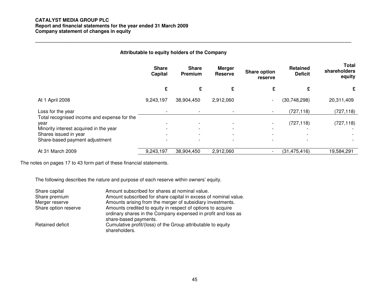# **CATALYST MEDIA GROUP PLC Report and financial statements for the year ended 31 March 2009 Company statement of changes in equity**

| Attributable to equity holders of the Company                   |                         |                                |                                 |                                       |                                   |                                        |
|-----------------------------------------------------------------|-------------------------|--------------------------------|---------------------------------|---------------------------------------|-----------------------------------|----------------------------------------|
|                                                                 | <b>Share</b><br>Capital | <b>Share</b><br><b>Premium</b> | <b>Merger</b><br><b>Reserve</b> | <b>Share option</b><br><b>reserve</b> | <b>Retained</b><br><b>Deficit</b> | <b>Total</b><br>shareholders<br>equity |
|                                                                 | £                       | £                              | £                               | £                                     | £                                 | £                                      |
| At 1 April 2008                                                 | 9,243,197               | 38,904,450                     | 2,912,060                       | ۰.                                    | (30, 748, 298)                    | 20,311,409                             |
| Loss for the year                                               |                         |                                |                                 | $\overline{\phantom{a}}$              | (727, 118)                        | (727, 118)                             |
| Total recognised income and expense for the<br>year             |                         |                                |                                 |                                       | (727, 118)                        | (727, 118)                             |
| Minority interest acquired in the year<br>Shares issued in year |                         | $\qquad \qquad \blacksquare$   |                                 |                                       |                                   |                                        |
| Share-based payment adjustment                                  |                         | $\overline{\phantom{0}}$       |                                 |                                       |                                   |                                        |
| At 31 March 2009                                                | 9,243,197               | 38,904,450                     | 2,912,060                       |                                       | (31, 475, 416)                    | 19,584,291                             |

**\_\_\_\_\_\_\_\_\_\_\_\_\_\_\_\_\_\_\_\_\_\_\_\_\_\_\_\_\_\_\_\_\_\_\_\_\_\_\_\_\_\_\_\_\_\_\_\_\_\_\_\_\_\_\_\_\_\_\_\_\_\_\_\_\_\_\_\_\_\_\_\_\_\_\_\_\_\_\_\_\_\_\_\_\_\_\_\_\_\_\_\_\_\_\_\_\_\_\_\_\_\_\_\_\_\_\_\_\_\_\_\_\_\_\_\_** 

The notes on pages 17 to 43 form part of these financial statements.

The following describes the nature and purpose of each reserve within owners' equity.

| Amount subscribed for shares at nominal value.                                |
|-------------------------------------------------------------------------------|
| Amount subscribed for share capital in excess of nominal value.               |
| Amounts arising from the merger of subsidiary investments.                    |
| Amounts credited to equity in respect of options to acquire                   |
| ordinary shares in the Company expensed in profit and loss as                 |
| share-based payments.                                                         |
| Cumulative profit/(loss) of the Group attributable to equity<br>shareholders. |
|                                                                               |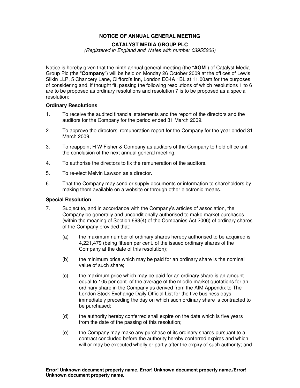# **NOTICE OF ANNUAL GENERAL MEETING**

# **CATALYST MEDIA GROUP PLC**

(Registered in England and Wales with number 03955206)

Notice is hereby given that the ninth annual general meeting (the "**AGM**") of Catalyst Media Group Plc (the "**Company**") will be held on Monday 26 October 2009 at the offices of Lewis Silkin LLP, 5 Chancery Lane, Clifford's Inn, London EC4A 1BL at 11.00am for the purposes of considering and, if thought fit, passing the following resolutions of which resolutions 1 to 6 are to be proposed as ordinary resolutions and resolution 7 is to be proposed as a special resolution:

## **Ordinary Resolutions**

- 1. To receive the audited financial statements and the report of the directors and the auditors for the Company for the period ended 31 March 2009.
- 2. To approve the directors' remuneration report for the Company for the year ended 31 March 2009.
- 3. To reappoint H W Fisher & Company as auditors of the Company to hold office until the conclusion of the next annual general meeting.
- 4. To authorise the directors to fix the remuneration of the auditors.
- 5. To re-elect Melvin Lawson as a director.
- 6. That the Company may send or supply documents or information to shareholders by making them available on a website or through other electronic means.

# **Special Resolution**

- 7. Subject to, and in accordance with the Company's articles of association, the Company be generally and unconditionally authorised to make market purchases (within the meaning of Section 693(4) of the Companies Act 2006) of ordinary shares of the Company provided that:
	- (a) the maximum number of ordinary shares hereby authorised to be acquired is 4,221,479 (being fifteen per cent. of the issued ordinary shares of the Company at the date of this resolution);
	- (b) the minimum price which may be paid for an ordinary share is the nominal value of such share;
	- (c) the maximum price which may be paid for an ordinary share is an amount equal to 105 per cent. of the average of the middle market quotations for an ordinary share in the Company as derived from the AIM Appendix to The London Stock Exchange Daily Official List for the five business days immediately preceding the day on which such ordinary share is contracted to be purchased;
	- (d) the authority hereby conferred shall expire on the date which is five years from the date of the passing of this resolution;
	- (e) the Company may make any purchase of its ordinary shares pursuant to a contract concluded before the authority hereby conferred expires and which will or may be executed wholly or partly after the expiry of such authority; and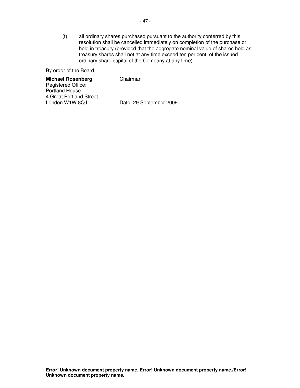(f) all ordinary shares purchased pursuant to the authority conferred by this resolution shall be cancelled immediately on completion of the purchase or held in treasury (provided that the aggregate nominal value of shares held as treasury shares shall not at any time exceed ten per cent. of the issued ordinary share capital of the Company at any time).

By order of the Board

Chairman

**Michael Rosenberg** Registered Office: Portland House 4 Great Portland Street London W1W 8QJ

Date: 29 September 2009